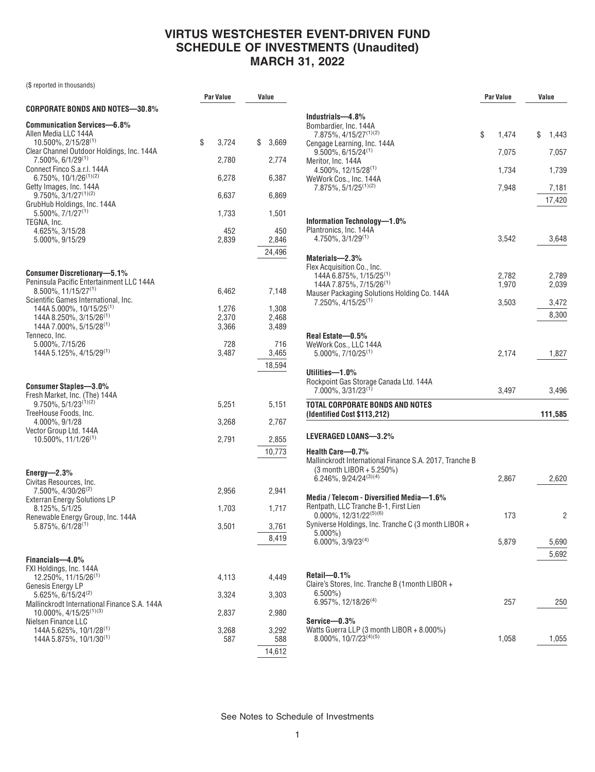(\$ reported in thousands)

|                                                                                                                         | Par Value      | Value                  |
|-------------------------------------------------------------------------------------------------------------------------|----------------|------------------------|
| CORPORATE BONDS AND NOTES—30.8%                                                                                         |                |                        |
| <b>Communication Services-6.8%</b><br>Allen Media LLC 144A                                                              |                |                        |
| 10.500%, 2/15/28 <sup>(1)</sup><br>Clear Channel Outdoor Holdings, Inc. 144A                                            | \$<br>3,724    | \$<br>3,669            |
| 7.500%, 6/1/29 <sup>(1)</sup><br>Connect Finco S.a.r.l. 144A                                                            | 2,780          | 2,774                  |
| 6.750%, 10/1/26 <sup>(1)(2)</sup><br>Getty Images, Inc. 144A                                                            | 6,278          | 6,387                  |
| $9.750\%$ , $3/1/27^{(1)(2)}$<br>GrubHub Holdings, Inc. 144A                                                            | 6,637          | 6,869                  |
| $5.500\%$ , $7/1/27^{(1)}$<br>TEGNA, Inc.                                                                               | 1,733          | 1,501                  |
| 4.625%, 3/15/28<br>5.000%, 9/15/29                                                                                      | 452<br>2,839   | 450<br>2,846<br>24,496 |
| <b>Consumer Discretionary-5.1%</b>                                                                                      |                |                        |
| Peninsula Pacific Entertainment LLC 144A<br>$8.500\%$ , 11/15/27 <sup>(1)</sup><br>Scientific Games International, Inc. | 6,462          | 7,148                  |
| 144A 5.000%, 10/15/25 <sup>(1)</sup><br>144A 8.250%, 3/15/26 <sup>(1)</sup>                                             | 1,276<br>2,370 | 1,308<br>2.468         |
| 144A 7.000%, 5/15/28 <sup>(1)</sup><br>Tenneco, Inc.                                                                    | 3,366          | 3.489                  |
| 5.000%, 7/15/26<br>144A 5.125%, 4/15/29 <sup>(1)</sup>                                                                  | 728<br>3.487   | 716<br>3,465           |
|                                                                                                                         |                | 18,594                 |
| <b>Consumer Staples-3.0%</b>                                                                                            |                |                        |
| Fresh Market, Inc. (The) 144A<br>$9.750\%, 5/1/23^{(1)(2)}$                                                             | 5,251          | 5,151                  |
| TreeHouse Foods, Inc.<br>4.000%, 9/1/28                                                                                 | 3,268          | 2,767                  |
| Vector Group Ltd. 144A<br>$10.500\%$ , $11/1/26^{(1)}$                                                                  | 2,791          | 2,855                  |
|                                                                                                                         |                | 10,773                 |
| Energy- $2.3\%$<br>Civitas Resources, Inc.                                                                              |                |                        |
| 7.500%, 4/30/26 <sup>(2)</sup><br><b>Exterran Energy Solutions LP</b>                                                   | 2,956          | 2,941                  |
| 8.125%, 5/1/25<br>Renewable Energy Group, Inc. 144A                                                                     | 1,703          | 1,717                  |
| 5.875%, 6/1/28(1)                                                                                                       | 3,501          | 3,761                  |
|                                                                                                                         |                | 8,419                  |
| Financials-4.0%<br>FXI Holdings, Inc. 144A                                                                              |                |                        |
| $12.250\%$ , 11/15/26 <sup>(1)</sup><br>Genesis Energy LP                                                               | 4,113          | 4,449                  |
| 5.625%, 6/15/24 <sup>(2)</sup>                                                                                          | 3,324          | 3,303                  |
| Mallinckrodt International Finance S.A. 144A<br>$10.000\%$ , $4/15/25^{(1)(3)}$<br>Nielsen Finance LLC                  | 2,837          | 2,980                  |
| 144A 5.625%, 10/1/28 <sup>(1)</sup><br>144A 5.875%, 10/1/30 <sup>(1)</sup>                                              | 3,268<br>587   | 3,292<br>588           |
|                                                                                                                         |                | 14,612                 |

|                                                                                 | Par Value      | Value          |
|---------------------------------------------------------------------------------|----------------|----------------|
|                                                                                 |                |                |
| Industrials-4.8%<br>Bombardier, Inc. 144A                                       |                |                |
| 7.875%, 4/15/27 <sup>(1)(2)</sup>                                               | \$<br>1,474    | \$<br>1,443    |
| Cengage Learning, Inc. 144A<br>$9.500\%$ , 6/15/24 <sup>(1)</sup>               | 7,075          | 7,057          |
| Meritor, Inc. 144A                                                              |                |                |
| $4.500\%$ , 12/15/28 <sup>(1)</sup>                                             | 1,734          | 1,739          |
| WeWork Cos., Inc. 144A<br>7.875%, 5/1/25 <sup>(1)(2)</sup>                      | 7,948          | 7,181          |
|                                                                                 |                | 17,420         |
|                                                                                 |                |                |
| Information Technology—1.0%                                                     |                |                |
| Plantronics, Inc. 144A<br>$4.750\%$ , $3/1/29^{(1)}$                            |                |                |
|                                                                                 | 3,542          | 3,648          |
| Materials-2.3%                                                                  |                |                |
| Flex Acquisition Co., Inc.                                                      |                |                |
| 144A 6.875%, 1/15/25 <sup>(1)</sup><br>144A 7.875%, 7/15/26 <sup>(1)</sup>      | 2,782<br>1,970 | 2,789<br>2,039 |
| Mauser Packaging Solutions Holding Co. 144A                                     |                |                |
| 7.250%, 4/15/25 <sup>(1)</sup>                                                  | 3,503          | 3,472          |
|                                                                                 |                | 8,300          |
|                                                                                 |                |                |
| Real Estate-0.5%<br>WeWork Cos., LLC 144A                                       |                |                |
| $5.000\%$ , $7/10/25^{(1)}$                                                     | 2,174          | 1,827          |
|                                                                                 |                |                |
| Utilities-1.0%<br>Rockpoint Gas Storage Canada Ltd. 144A                        |                |                |
| 7.000%, 3/31/23 <sup>(1)</sup>                                                  | 3,497          | 3,496          |
| TOTAL CORPORATE BONDS AND NOTES<br>(Identified Cost \$113,212)                  |                | 111,585        |
|                                                                                 |                |                |
| LEVERAGED LOANS-3.2%                                                            |                |                |
| Health Care-0.7%                                                                |                |                |
| Mallinckrodt International Finance S.A. 2017, Tranche B                         |                |                |
| (3 month LIBOR + 5.250%)<br>$6.246\%$ , 9/24/24 <sup>(3)(4)</sup>               | 2,867          | 2,620          |
|                                                                                 |                |                |
| Media / Telecom - Diversified Media-1.6%                                        |                |                |
| Rentpath, LLC Tranche B-1, First Lien<br>$0.000\%$ , 12/31/22 <sup>(5)(6)</sup> | 173            | 2              |
| Syniverse Holdings, Inc. Tranche C (3 month LIBOR +                             |                |                |
| $5.000\%$ )<br>$6.000\%$ , 3/9/23 <sup>(4)</sup>                                | 5,879          | 5,690          |
|                                                                                 |                | 5,692          |
|                                                                                 |                |                |
| Retail-0.1%                                                                     |                |                |
| Claire's Stores, Inc. Tranche B (1month LIBOR +                                 |                |                |
| $6.500\%$<br>6.957%, 12/18/26 <sup>(4)</sup>                                    | 257            | 250            |
|                                                                                 |                |                |
| Service-0.3%                                                                    |                |                |
| Watts Guerra LLP (3 month LIBOR + 8.000%)<br>8.000%, 10/7/23(4)(5)              | 1,058          | 1,055          |
|                                                                                 |                |                |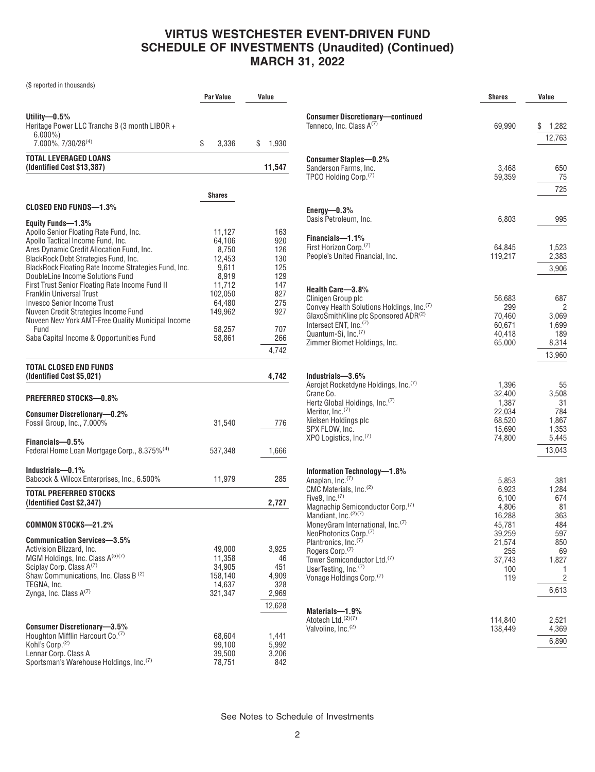| (\$ reported in thousands)                                                                                                                                                                                                                                                                                                                                                                                                                                                                                                                                     |                                                                                                                     |                                                                                  |
|----------------------------------------------------------------------------------------------------------------------------------------------------------------------------------------------------------------------------------------------------------------------------------------------------------------------------------------------------------------------------------------------------------------------------------------------------------------------------------------------------------------------------------------------------------------|---------------------------------------------------------------------------------------------------------------------|----------------------------------------------------------------------------------|
|                                                                                                                                                                                                                                                                                                                                                                                                                                                                                                                                                                | Par Value                                                                                                           | Value                                                                            |
| Utility— $0.5\%$<br>Heritage Power LLC Tranche B (3 month LIBOR +<br>$6.000\%$<br>7.000%, 7/30/26 <sup>(4)</sup>                                                                                                                                                                                                                                                                                                                                                                                                                                               | \$<br>3,336                                                                                                         | \$<br>1,930                                                                      |
| <b>TOTAL LEVERAGED LOANS</b><br>(Identified Cost \$13,387)                                                                                                                                                                                                                                                                                                                                                                                                                                                                                                     |                                                                                                                     | 11,547                                                                           |
|                                                                                                                                                                                                                                                                                                                                                                                                                                                                                                                                                                | <b>Shares</b>                                                                                                       |                                                                                  |
| <b>CLOSED END FUNDS-1.3%</b>                                                                                                                                                                                                                                                                                                                                                                                                                                                                                                                                   |                                                                                                                     |                                                                                  |
| Equity Funds-1.3%<br>Apollo Senior Floating Rate Fund, Inc.<br>Apollo Tactical Income Fund, Inc.<br>Ares Dynamic Credit Allocation Fund, Inc.<br>BlackRock Debt Strategies Fund, Inc.<br>BlackRock Floating Rate Income Strategies Fund, Inc.<br>DoubleLine Income Solutions Fund<br>First Trust Senior Floating Rate Income Fund II<br><b>Franklin Universal Trust</b><br><b>Invesco Senior Income Trust</b><br>Nuveen Credit Strategies Income Fund<br>Nuveen New York AMT-Free Quality Municipal Income<br>Fund<br>Saba Capital Income & Opportunities Fund | 11,127<br>64,106<br>8,750<br>12,453<br>9,611<br>8,919<br>11,712<br>102,050<br>64,480<br>149,962<br>58,257<br>58,861 | 163<br>920<br>126<br>130<br>125<br>129<br>147<br>827<br>275<br>927<br>707<br>266 |
|                                                                                                                                                                                                                                                                                                                                                                                                                                                                                                                                                                |                                                                                                                     | 4,742                                                                            |
| TOTAL CLOSED END FUNDS<br>(Identified Cost \$5,021)                                                                                                                                                                                                                                                                                                                                                                                                                                                                                                            |                                                                                                                     | 4,742                                                                            |
| <b>PREFERRED STOCKS-0.8%</b>                                                                                                                                                                                                                                                                                                                                                                                                                                                                                                                                   |                                                                                                                     |                                                                                  |
| <b>Consumer Discretionary-0.2%</b><br>Fossil Group, Inc., 7.000%                                                                                                                                                                                                                                                                                                                                                                                                                                                                                               | 31,540                                                                                                              | 776                                                                              |
| Financials-0.5%<br>Federal Home Loan Mortgage Corp., 8.375% <sup>(4)</sup>                                                                                                                                                                                                                                                                                                                                                                                                                                                                                     | 537,348                                                                                                             | 1,666                                                                            |
| Industrials-0.1%<br>Babcock & Wilcox Enterprises, Inc., 6.500%                                                                                                                                                                                                                                                                                                                                                                                                                                                                                                 | 11,979                                                                                                              | 285                                                                              |
| TOTAL PREFERRED STOCKS<br>(Identified Cost \$2,347)                                                                                                                                                                                                                                                                                                                                                                                                                                                                                                            |                                                                                                                     | 2,727                                                                            |
| COMMON STOCKS-21.2%                                                                                                                                                                                                                                                                                                                                                                                                                                                                                                                                            |                                                                                                                     |                                                                                  |
| <b>Communication Services-3.5%</b><br>Activision Blizzard, Inc.<br>MGM Holdings, Inc. Class A(5)(7)<br>Sciplay Corp. Class A(7)<br>Shaw Communications, Inc. Class B <sup>(2)</sup><br>TEGNA, Inc.<br>Zynga, Inc. Class $A^{(7)}$                                                                                                                                                                                                                                                                                                                              | 49,000<br>11,358<br>34,905<br>158,140<br>14,637<br>321,347                                                          | 3,925<br>46<br>451<br>4,909<br>328<br>2,969<br>12,628                            |
| <b>Consumer Discretionary-3.5%</b><br>Houghton Mifflin Harcourt Co. <sup>(7)</sup><br>Kohl's Corp. <sup>(2)</sup><br>Lennar Corp. Class A<br>Sportsman's Warehouse Holdings, Inc. <sup>(7)</sup>                                                                                                                                                                                                                                                                                                                                                               | 68,604<br>99,100<br>39,500<br>78,751                                                                                | 1,441<br>5,992<br>3,206<br>842                                                   |

|                                                                                                                                                                                                                                                                                                                                                                                                                                                                                            | <b>Shares</b>                                                                                           | Value                                                                                   |
|--------------------------------------------------------------------------------------------------------------------------------------------------------------------------------------------------------------------------------------------------------------------------------------------------------------------------------------------------------------------------------------------------------------------------------------------------------------------------------------------|---------------------------------------------------------------------------------------------------------|-----------------------------------------------------------------------------------------|
| <b>Consumer Discretionary-continued</b><br>Tenneco, Inc. Class A <sup>(7)</sup>                                                                                                                                                                                                                                                                                                                                                                                                            | 69,990                                                                                                  | S<br>1,282<br>12,763                                                                    |
| <b>Consumer Staples-0.2%</b><br>Sanderson Farms, Inc.<br>TPCO Holding Corp. <sup>(7)</sup>                                                                                                                                                                                                                                                                                                                                                                                                 | 3,468<br>59,359                                                                                         | 650<br>75<br>725                                                                        |
| Energy $-0.3\%$<br>Oasis Petroleum, Inc.                                                                                                                                                                                                                                                                                                                                                                                                                                                   | 6,803                                                                                                   | 995                                                                                     |
| Financials-1.1%<br>First Horizon Corp. <sup>(7)</sup><br>People's United Financial, Inc.                                                                                                                                                                                                                                                                                                                                                                                                   | 64,845<br>119,217                                                                                       | 1,523<br>2,383<br>3,906                                                                 |
| Health Care-3.8%<br>Clinigen Group plc<br>Convey Health Solutions Holdings, Inc. <sup>(7)</sup><br>GlaxoSmithKline plc Sponsored ADR(2)<br>Intersect ENT, Inc. <sup>(7)</sup><br>Quantum-Si, Inc. <sup>(7)</sup><br>Zimmer Biomet Holdings, Inc.                                                                                                                                                                                                                                           | 56,683<br>299<br>70,460<br>60,671<br>40,418<br>65,000                                                   | 687<br>2<br>3,069<br>1,699<br>189<br>8,314<br>13,960                                    |
| Industrials-3.6%<br>Aerojet Rocketdyne Holdings, Inc. <sup>(7)</sup><br>Crane Co.<br>Hertz Global Holdings, Inc. <sup>(7)</sup><br>Meritor, Inc. <sup>(7)</sup><br>Nielsen Holdings plc<br>SPX FLOW, Inc.<br>XPO Logistics, Inc. <sup>(7)</sup>                                                                                                                                                                                                                                            | 1,396<br>32,400<br>1,387<br>22,034<br>68,520<br>15,690<br>74,800                                        | 55<br>3,508<br>31<br>784<br>1,867<br>1,353<br>5,445<br>13,043                           |
| Information Technology-1.8%<br>Anaplan, Inc. <sup>(7)</sup><br>CMC Materials, Inc. <sup>(2)</sup><br>Five <sub>9</sub> , Inc. $(7)$<br>Magnachip Semiconductor Corp. <sup>(7)</sup><br>Mandiant, Inc. <sup>(2)(7)</sup><br>MoneyGram International, Inc. <sup>(7)</sup><br>NeoPhotonics Corp. <sup>(7)</sup><br>Plantronics, Inc. <sup>(7)</sup><br>Rogers Corp. <sup>(7)</sup><br>Tower Semiconductor Ltd. <sup>(7)</sup><br>UserTesting, Inc.(7)<br>Vonage Holdings Corp. <sup>(7)</sup> | 5,853<br>6,923<br>6,100<br>4,806<br>16,288<br>45,781<br>39,259<br>21,574<br>255<br>37,743<br>100<br>119 | 381<br>1,284<br>674<br>81<br>363<br>484<br>597<br>850<br>69<br>1,827<br>1<br>2<br>6,613 |
| Materials-1.9%<br>Atotech Ltd. <sup>(2)(7)</sup><br>Valvoline, Inc. <sup>(2)</sup>                                                                                                                                                                                                                                                                                                                                                                                                         | 114,840<br>138,449                                                                                      | 2,521<br>4,369<br>6,890                                                                 |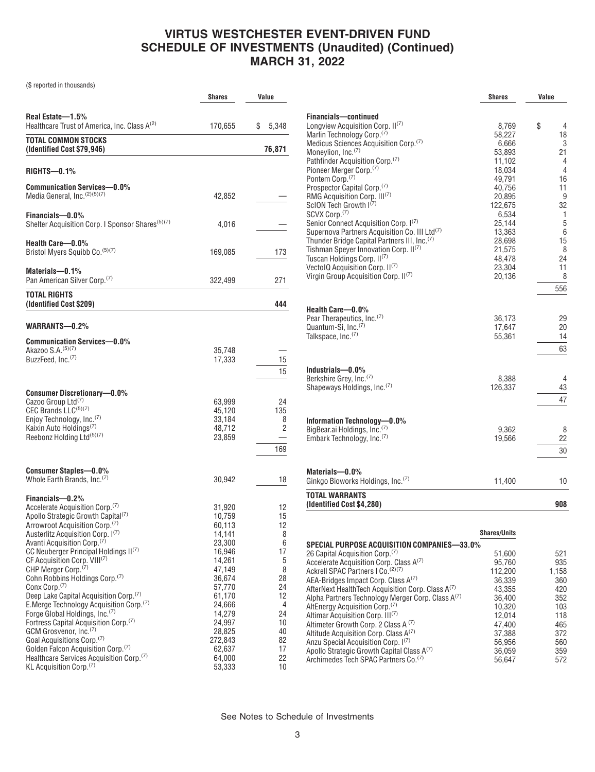(\$ reported in thousands)

|                                                                                                                                                                                                                                                                                                                                                                                                                                                                                                                                                                                                                                                                                                                                                                                                                                                                                                    | Shares                                                                                                                                                                                      | Value                                                                                                     |
|----------------------------------------------------------------------------------------------------------------------------------------------------------------------------------------------------------------------------------------------------------------------------------------------------------------------------------------------------------------------------------------------------------------------------------------------------------------------------------------------------------------------------------------------------------------------------------------------------------------------------------------------------------------------------------------------------------------------------------------------------------------------------------------------------------------------------------------------------------------------------------------------------|---------------------------------------------------------------------------------------------------------------------------------------------------------------------------------------------|-----------------------------------------------------------------------------------------------------------|
|                                                                                                                                                                                                                                                                                                                                                                                                                                                                                                                                                                                                                                                                                                                                                                                                                                                                                                    |                                                                                                                                                                                             |                                                                                                           |
| Real Estate-1.5%<br>Healthcare Trust of America, Inc. Class A <sup>(2)</sup>                                                                                                                                                                                                                                                                                                                                                                                                                                                                                                                                                                                                                                                                                                                                                                                                                       | 170,655                                                                                                                                                                                     | \$<br>5,348                                                                                               |
| <b>TOTAL COMMON STOCKS</b><br>(Identified Cost \$79,946)                                                                                                                                                                                                                                                                                                                                                                                                                                                                                                                                                                                                                                                                                                                                                                                                                                           |                                                                                                                                                                                             | 76,871                                                                                                    |
| RIGHTS-0.1%                                                                                                                                                                                                                                                                                                                                                                                                                                                                                                                                                                                                                                                                                                                                                                                                                                                                                        |                                                                                                                                                                                             |                                                                                                           |
| <b>Communication Services-0.0%</b><br>Media General, Inc. (2)(5)(7)                                                                                                                                                                                                                                                                                                                                                                                                                                                                                                                                                                                                                                                                                                                                                                                                                                | 42,852                                                                                                                                                                                      |                                                                                                           |
| Financials-0.0%<br>Shelter Acquisition Corp. I Sponsor Shares <sup>(5)(7)</sup>                                                                                                                                                                                                                                                                                                                                                                                                                                                                                                                                                                                                                                                                                                                                                                                                                    | 4,016                                                                                                                                                                                       |                                                                                                           |
| Health Care-0.0%<br>Bristol Myers Squibb Co. (5)(7)                                                                                                                                                                                                                                                                                                                                                                                                                                                                                                                                                                                                                                                                                                                                                                                                                                                | 169,085                                                                                                                                                                                     | 173                                                                                                       |
| Materials-0.1%<br>Pan American Silver Corp. <sup>(7)</sup>                                                                                                                                                                                                                                                                                                                                                                                                                                                                                                                                                                                                                                                                                                                                                                                                                                         | 322,499                                                                                                                                                                                     | 271                                                                                                       |
| <b>TOTAL RIGHTS</b><br>(Identified Cost \$209)                                                                                                                                                                                                                                                                                                                                                                                                                                                                                                                                                                                                                                                                                                                                                                                                                                                     |                                                                                                                                                                                             | 444                                                                                                       |
| WARRANTS-0.2%                                                                                                                                                                                                                                                                                                                                                                                                                                                                                                                                                                                                                                                                                                                                                                                                                                                                                      |                                                                                                                                                                                             |                                                                                                           |
| Communication Services-0.0%<br>Akazoo S.A. (5)(7)<br>BuzzFeed, Inc. <sup>(7)</sup>                                                                                                                                                                                                                                                                                                                                                                                                                                                                                                                                                                                                                                                                                                                                                                                                                 | 35,748<br>17,333                                                                                                                                                                            | 15<br>15                                                                                                  |
| <b>Consumer Discretionary-0.0%</b><br>Cazoo Group Ltd <sup>(7)</sup><br>CEC Brands LLC(5)(7)<br>Enjoy Technology, Inc. <sup>(7)</sup><br>Kaixin Auto Holdings <sup>(7)</sup><br>Reebonz Holding Ltd(5)(7)                                                                                                                                                                                                                                                                                                                                                                                                                                                                                                                                                                                                                                                                                          | 63,999<br>45,120<br>33,184<br>48,712<br>23,859                                                                                                                                              | 24<br>135<br>8<br>2<br>169                                                                                |
| <b>Consumer Staples-0.0%</b><br>Whole Earth Brands, Inc. <sup>(7)</sup>                                                                                                                                                                                                                                                                                                                                                                                                                                                                                                                                                                                                                                                                                                                                                                                                                            | 30,942                                                                                                                                                                                      | 18                                                                                                        |
| Financials-0.2%<br>Accelerate Acquisition Corp. <sup>(7)</sup><br>Apollo Strategic Growth Capital <sup>(7)</sup><br>Arrowroot Acquisition Corp. <sup>(7)</sup><br>Austerlitz Acquisition Corp. 1(7)<br>Avanti Acquisition Corp. <sup>(7)</sup><br>CC Neuberger Principal Holdings II(7)<br>CF Acquisition Corp. VIII <sup>(7)</sup><br>CHP Merger Corp. <sup>(7)</sup><br>Cohn Robbins Holdings Corp. <sup>(7)</sup><br>Conx Corp. <sup>(7)</sup><br>Deep Lake Capital Acquisition Corp. <sup>(7)</sup><br>E.Merge Technology Acquisition Corp. <sup>(7)</sup><br>Forge Global Holdings, Inc. <sup>(7)</sup><br>Fortress Capital Acquisition Corp. <sup>(7)</sup><br>GCM Grosvenor, Inc. <sup>(7)</sup><br>Goal Acquisitions Corp. <sup>(7)</sup><br>Golden Falcon Acquisition Corp. <sup>(7)</sup><br>Healthcare Services Acquisition Corp. <sup>(7)</sup><br>KL Acquisition Corp. <sup>(7)</sup> | 31,920<br>10,759<br>60,113<br>14,141<br>23,300<br>16,946<br>14,261<br>47,149<br>36,674<br>57,770<br>61,170<br>24,666<br>14,279<br>24,997<br>28,825<br>272,843<br>62,637<br>64,000<br>53,333 | 12<br>15<br>12<br>8<br>6<br>17<br>5<br>8<br>28<br>24<br>12<br>4<br>24<br>10<br>40<br>82<br>17<br>22<br>10 |

|                                                                                     | <b>Shares</b>    | Value   |
|-------------------------------------------------------------------------------------|------------------|---------|
| Financials-continued                                                                |                  |         |
| Longview Acquisition Corp. II(7)                                                    | 8,769            | \$<br>4 |
| Marlin Technology Corp. <sup>(7)</sup>                                              | 58,227           | 18      |
| Medicus Sciences Acquisition Corp. <sup>(7)</sup>                                   | 6,666            | 3       |
| Moneylion, Inc. <sup>(7)</sup>                                                      | 53,893           | 21      |
| Pathfinder Acquisition Corp. <sup>(7)</sup>                                         | 11,102           | 4       |
| Pioneer Merger Corp. <sup>(7)</sup><br>Pontem Corp. <sup>(7)</sup>                  | 18,034           | 4<br>16 |
|                                                                                     | 49,791<br>40,756 | 11      |
| Prospector Capital Corp. <sup>(7)</sup><br>RMG Acquisition Corp. III <sup>(7)</sup> | 20,895           | 9       |
| ScION Tech Growth I(7)                                                              | 122,675          | 32      |
| SCVX Corp. <sup>(7)</sup>                                                           | 6,534            | 1       |
| Senior Connect Acquisition Corp. I(7)                                               | 25.144           | 5       |
| Supernova Partners Acquisition Co. III Ltd(7)                                       | 13,363           | 6       |
| Thunder Bridge Capital Partners III, Inc. <sup>(7)</sup>                            | 28,698           | 15      |
| Tishman Speyer Innovation Corp. II <sup>(7)</sup>                                   | 21,575           | 8       |
| Tuscan Holdings Corp. II <sup>(7)</sup>                                             | 48,478           | 24      |
| VectolQ Acquisition Corp. II <sup>(7)</sup>                                         | 23,304           | 11      |
| Virgin Group Acquisition Corp. II(7)                                                | 20,136           | 8       |
|                                                                                     |                  | 556     |
|                                                                                     |                  |         |
| Health Care-0.0%                                                                    |                  |         |
| Pear Therapeutics, Inc. <sup>(7)</sup>                                              | 36,173           | 29      |
| Quantum-Si, Inc. <sup>(7)</sup>                                                     | 17,647           | 20      |
| Talkspace, Inc. <sup>(7)</sup>                                                      | 55,361           | 14      |
|                                                                                     |                  | 63      |
| Industrials-0.0%                                                                    |                  |         |
| Berkshire Grey, Inc. <sup>(7)</sup>                                                 | 8,388            | 4       |
| Shapeways Holdings, Inc. <sup>(7)</sup>                                             | 126,337          | 43      |
|                                                                                     |                  | 47      |
|                                                                                     |                  |         |
| Information Technology-0.0%                                                         |                  |         |
| BigBear.ai Holdings, Inc. <sup>(7)</sup>                                            | 9,362            | 8       |
| Embark Technology, Inc. <sup>(7)</sup>                                              | 19,566           | 22      |
|                                                                                     |                  | 30      |
|                                                                                     |                  |         |
| Materials-0.0%                                                                      |                  |         |
| Ginkgo Bioworks Holdings, Inc. <sup>(7)</sup>                                       | 11,400           | 10      |
| <b>TOTAL WARRANTS</b><br>(Identified Cost \$4,280)                                  |                  | 908     |

|                                                               | <b>Shares/Units</b> |       |
|---------------------------------------------------------------|---------------------|-------|
| SPECIAL PURPOSE ACQUISITION COMPANIES—33.0%                   |                     |       |
| 26 Capital Acquisition Corp. <sup>(7)</sup>                   | 51.600              | 521   |
| Accelerate Acquisition Corp. Class A <sup>(7)</sup>           | 95.760              | 935   |
| Ackrell SPAC Partners I Co. (2)(7)                            | 112,200             | 1,158 |
| AEA-Bridges Impact Corp. Class A <sup>(7)</sup>               | 36.339              | 360   |
| AfterNext HealthTech Acquisition Corp. Class A <sup>(7)</sup> | 43.355              | 420   |
| Alpha Partners Technology Merger Corp. Class A <sup>(7)</sup> | 36.400              | 352   |
| AltEnergy Acquisition Corp. <sup>(7)</sup>                    | 10.320              | 103   |
| Altimar Acquisition Corp. III <sup>(7)</sup>                  | 12.014              | 118   |
| Altimeter Growth Corp. 2 Class A (7)                          | 47.400              | 465   |
| Altitude Acquisition Corp. Class $A^{(7)}$                    | 37,388              | 372   |
| Anzu Special Acquisition Corp. 1 <sup>(7)</sup>               | 56.956              | 560   |
| Apollo Strategic Growth Capital Class A <sup>(7)</sup>        | 36.059              | 359   |
| Archimedes Tech SPAC Partners Co. <sup>(7)</sup>              | 56.647              | 572   |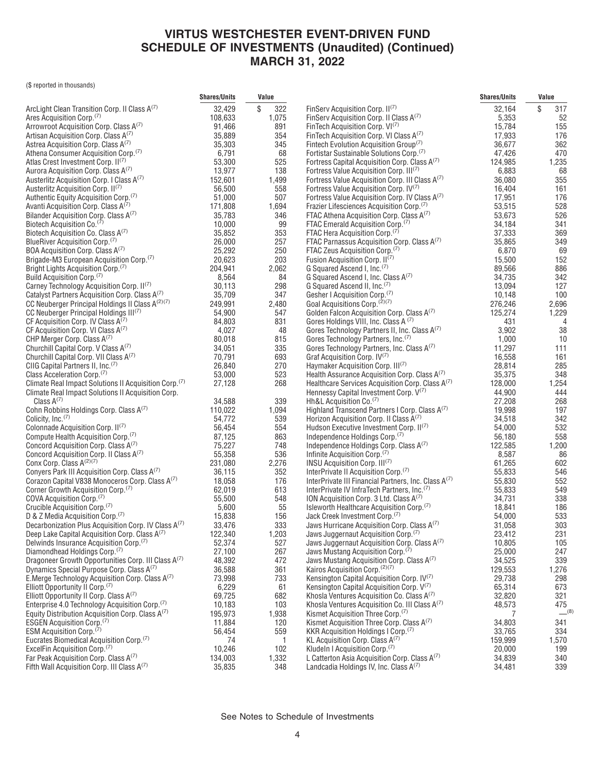(\$ reported in thousands)

|                                                                                                      | <b>Shares/Units</b> | Value        |                                                                                                            | <b>Shares/Units</b> | Value      |
|------------------------------------------------------------------------------------------------------|---------------------|--------------|------------------------------------------------------------------------------------------------------------|---------------------|------------|
| ArcLight Clean Transition Corp. II Class A(7)                                                        | 32,429              | \$<br>322    | FinServ Acquisition Corp. II <sup>(7)</sup>                                                                | 32,164              | \$<br>317  |
| Ares Acquisition Corp. <sup>(7)</sup>                                                                | 108,633             | 1,075        | FinServ Acquisition Corp. II Class A(7)                                                                    | 5,353               | 52         |
| Arrowroot Acquisition Corp. Class A(7)                                                               | 91,466              | 891          | FinTech Acquisition Corp. VI <sup>(7)</sup>                                                                | 15,784              | 155        |
| Artisan Acquisition Corp. Class A <sup>(7)</sup>                                                     | 35,889              | 354          | FinTech Acquisition Corp. VI Class A(7)                                                                    | 17,933              | 176        |
| Astrea Acquisition Corp. Class A <sup>(7)</sup>                                                      | 35,303              | 345          | Fintech Evolution Acquisition Group <sup>(7)</sup>                                                         | 36,677              | 362        |
| Athena Consumer Acquisition Corp. <sup>(7)</sup>                                                     | 6,791               | 68           | Fortistar Sustainable Solutions Corp. <sup>(7)</sup>                                                       | 47,426              | 470        |
| Atlas Crest Investment Corp. II <sup>(7)</sup>                                                       | 53,300              | 525          | Fortress Capital Acquisition Corp. Class A <sup>(7)</sup>                                                  | 124,985             | 1,235      |
| Aurora Acquisition Corp. Class A(7)                                                                  | 13,977              | 138          | Fortress Value Acquisition Corp. III <sup>(7)</sup>                                                        | 6,883               | 68         |
| Austerlitz Acquisition Corp. I Class A(7)                                                            | 152,601             | 1,499        | Fortress Value Acquisition Corp. III Class A(7)                                                            | 36,080              | 355        |
| Austerlitz Acquisition Corp. II <sup>(7)</sup>                                                       | 56,500              | 558          | Fortress Value Acquisition Corp. IV(7)                                                                     | 16,404              | 161        |
| Authentic Equity Acquisition Corp. <sup>(7)</sup>                                                    | 51,000              | 507          | Fortress Value Acquisition Corp. IV Class A(7)                                                             | 17,951              | 176        |
| Avanti Acquisition Corp. Class A <sup>(7)</sup><br>Bilander Acquisition Corp. Class A(7)             | 171,808<br>35,783   | 1,694<br>346 | Frazier Lifesciences Acquisition Corp. <sup>(7)</sup><br>FTAC Athena Acquisition Corp. Class A(1)          | 53,515<br>53,673    | 528<br>526 |
| Biotech Acquisition Co. <sup>(7)</sup>                                                               | 10,000              | 99           | FTAC Emerald Acquisition Corp. <sup>(7)</sup>                                                              | 34,184              | 341        |
| Biotech Acquisition Co. Class A(7)                                                                   | 35,852              | 353          | FTAC Hera Acquisition Corp. <sup>(7)</sup>                                                                 | 37,333              | 369        |
| BlueRiver Acquisition Corp. <sup>(7)</sup>                                                           | 26,000              | 257          | FTAC Parnassus Acquisition Corp. Class A(7)                                                                | 35,865              | 349        |
| BOA Acquisition Corp. Class A(7)                                                                     | 25,292              | 250          | FTAC Zeus Acquisition Corp. <sup>(7)</sup>                                                                 | 6,870               | 69         |
| Brigade-M3 European Acquisition Corp. <sup>(7)</sup>                                                 | 20,623              | 203          | Fusion Acquisition Corp. II <sup>(7)</sup>                                                                 | 15,500              | 152        |
| Bright Lights Acquisition Corp. <sup>(7)</sup>                                                       | 204,941             | 2,062        | G Squared Ascend I, Inc. <sup>(7)</sup>                                                                    | 89,566              | 886        |
| Build Acquisition Corp. <sup>(7)</sup>                                                               | 8,564               | 84           | G Squared Ascend I, Inc. Class A(7)                                                                        | 34,735              | 342        |
| Carney Technology Acquisition Corp. II(7)                                                            | 30,113              | 298          | G Squared Ascend II, Inc. <sup>(7)</sup>                                                                   | 13,094              | 127        |
| Catalyst Partners Acquisition Corp. Class A <sup>(7)</sup>                                           | 35,709              | 347          | Gesher I Acquisition Corp. <sup>(7)</sup>                                                                  | 10,148              | 100        |
| CC Neuberger Principal Holdings II Class A <sup>(2)(7)</sup>                                         | 249,991             | 2,480        | Goal Acquisitions Corp. <sup>(2)(7)</sup>                                                                  | 276,246             | 2,696      |
| CC Neuberger Principal Holdings III <sup>(7)</sup>                                                   | 54,900              | 547          | Golden Falcon Acquisition Corp. Class A(7)                                                                 | 125,274             | 1,229      |
| CF Acquisition Corp. IV Class A <sup>(7)</sup>                                                       | 84,803              | 831          | Gores Holdings VIII, Inc. Class A (7)                                                                      | 431                 | 4          |
| CF Acquisition Corp. VI Class $A^{(7)}$                                                              | 4,027               | 48           | Gores Technology Partners II, Inc. Class A(7)                                                              | 3,902               | 38         |
| CHP Merger Corp. Class A(7)                                                                          | 80,018              | 815          | Gores Technology Partners, Inc. <sup>(7)</sup>                                                             | 1,000               | 10         |
| Churchill Capital Corp. V Class A(7)                                                                 | 34,051              | 335          | Gores Technology Partners, Inc. Class A(7)                                                                 | 11,297              | 111        |
| Churchill Capital Corp. VII Class A(7)                                                               | 70,791              | 693          | Graf Acquisition Corp. IV <sup>(7)</sup>                                                                   | 16,558              | 161        |
| CIIG Capital Partners II, Inc. <sup>(7)</sup><br>Class Acceleration Corp. <sup>(7)</sup>             | 26,840<br>53,000    | 270<br>523   | Haymaker Acquisition Corp. III <sup>(7)</sup><br>Health Assurance Acquisition Corp. Class A <sup>(7)</sup> | 28,814<br>35,375    | 285<br>348 |
| Climate Real Impact Solutions II Acquisition Corp. <sup>(7)</sup>                                    | 27,128              | 268          | Healthcare Services Acquisition Corp. Class A(7)                                                           | 128,000             | 1,254      |
| Climate Real Impact Solutions II Acquisition Corp.                                                   |                     |              | Hennessy Capital Investment Corp. V <sup>(7)</sup>                                                         | 44,900              | 444        |
| Class $A^{(7)}$                                                                                      | 34,588              | 339          | Hh&L Acquisition Co. <sup>(7)</sup>                                                                        | 27,208              | 268        |
| Cohn Robbins Holdings Corp. Class A <sup>(7)</sup>                                                   | 110,022             | 1,094        | Highland Transcend Partners I Corp. Class A(7)                                                             | 19,998              | 197        |
| Colicity, $Inc.^{(7)}$                                                                               | 54,772              | 539          | Horizon Acquisition Corp. II Class $A^{(7)}$                                                               | 34,518              | 342        |
| Colonnade Acquisition Corp. II <sup>(7)</sup>                                                        | 56,454              | 554          | Hudson Executive Investment Corp. II <sup>(7)</sup>                                                        | 54,000              | 532        |
| Compute Health Acquisition Corp. <sup>(7)</sup>                                                      | 87,125              | 863          | Independence Holdings Corp. <sup>(7)</sup>                                                                 | 56,180              | 558        |
| Concord Acquisition Corp. Class A(7)                                                                 | 75,227              | 748          | Independence Holdings Corp. Class A(7)                                                                     | 122,585             | 1,200      |
| Concord Acquisition Corp. II Class A(7)                                                              | 55,358              | 536          | Infinite Acquisition Corp. <sup>(7)</sup>                                                                  | 8,587               | 86         |
| Conx Corp. Class A <sup>(2)(7)</sup>                                                                 | 231,080             | 2,276        | INSU Acquisition Corp. III <sup>(7)</sup>                                                                  | 61,265              | 602        |
| Conyers Park III Acquisition Corp. Class A(7)                                                        | 36,115              | 352          | InterPrivate II Acquisition Corp. <sup>(7)</sup>                                                           | 55,833              | 546        |
| Corazon Capital V838 Monoceros Corp. Class A(7)                                                      | 18,058              | 176          | InterPrivate III Financial Partners, Inc. Class A(7)                                                       | 55,830              | 552        |
| Corner Growth Acquisition Corp. <sup>(7)</sup>                                                       | 62,019              | 613          | InterPrivate IV InfraTech Partners, Inc. <sup>(7)</sup>                                                    | 55,833              | 549        |
| COVA Acquisition Corp. <sup>(7)</sup>                                                                | 55,500              | 548          | ION Acquisition Corp. 3 Ltd. Class $A^{(7)}$                                                               | 34,731              | 338        |
| Crucible Acquisition Corp.(7)                                                                        | 5,600               | 55           | Isleworth Healthcare Acquisition Corp. <sup>(7)</sup><br>Jack Creek Investment Corp. <sup>(7)</sup>        | 18,841              | 186        |
| D & Z Media Acquisition Corp.(7)<br>Decarbonization Plus Acquisition Corp. IV Class A <sup>(7)</sup> | 15,838<br>33,476    | 156<br>333   | Jaws Hurricane Acquisition Corp. Class $A^{(7)}$                                                           | 54,000<br>31,058    | 533<br>303 |
| Deep Lake Capital Acquisition Corp. Class A(7)                                                       | 122,340             | 1,203        | Jaws Juggernaut Acquisition Corp. <sup>(7)</sup>                                                           | 23,412              | 231        |
| Delwinds Insurance Acquisition Corp. <sup>(7)</sup>                                                  | 52,374              | 527          | Jaws Juggernaut Acquisition Corp. Class A(7)                                                               | 10,805              | 105        |
| Diamondhead Holdings Corp.(7)                                                                        | 27,100              | 267          | Jaws Mustang Acquisition Corp. <sup>(7)</sup>                                                              | 25,000              | 247        |
| Dragoneer Growth Opportunities Corp. III Class A(7)                                                  | 48,392              | 472          | Jaws Mustang Acquisition Corp. Class $A^{(7)}$                                                             | 34,525              | 339        |
| Dynamics Special Purpose Corp. Class A <sup>(7)</sup>                                                | 36,588              | 361          | Kairos Acquisition Corp. <sup>(2)(7)</sup>                                                                 | 129,553             | 1,276      |
| E.Merge Technology Acquisition Corp. Class A(7)                                                      | 73,998              | 733          | Kensington Capital Acquisition Corp. $IV^{(7)}$                                                            | 29,738              | 298        |
| Elliott Opportunity II Corp. <sup>(7)</sup>                                                          | 6,229               | 61           | Kensington Capital Acquisition Corp. V(7)                                                                  | 65,314              | 673        |
| Elliott Opportunity II Corp. Class A(7)                                                              | 69,725              | 682          | Khosla Ventures Acquisition Co. Class $A^{(7)}$                                                            | 32,820              | 321        |
| Enterprise 4.0 Technology Acquisition Corp. <sup>(7)</sup>                                           | 10,183              | 103          | Khosla Ventures Acquisition Co. III Class A(7)                                                             | 48,573              | 475        |
| Equity Distribution Acquisition Corp. Class $A^{(7)}$                                                | 195,973             | 1,938        | Kismet Acquisition Three Corp. <sup>(7)</sup>                                                              | 7                   | $-^{(8)}$  |
| ESGEN Acquisition Corp. <sup>(7)</sup>                                                               | 11,884              | 120          | Kismet Acquisition Three Corp. Class A(7)                                                                  | 34,803              | 341        |
| ESM Acquisition Corp. <sup>(7)</sup>                                                                 | 56,454              | 559          | KKR Acquisition Holdings I Corp. <sup>(7)</sup>                                                            | 33,765              | 334        |
| Eucrates Biomedical Acquisition Corp. <sup>(7)</sup>                                                 | 74                  | 1            | KL Acquisition Corp. Class $A^{(7)}$                                                                       | 159,999             | 1,570      |
| ExcelFin Acquisition Corp. <sup>(7)</sup>                                                            | 10,246              | 102          | Kludeln I Acquisition Corp. <sup>(7)</sup>                                                                 | 20,000              | 199        |
| Far Peak Acquisition Corp. Class A(7)                                                                | 134,003             | 1,332        | L Catterton Asia Acquisition Corp. Class $A^{(7)}$                                                         | 34,839              | 340        |
| Fifth Wall Acquisition Corp. III Class $A^{(7)}$                                                     | 35,835              | 348          | Landcadia Holdings IV, Inc. Class A(7)                                                                     | 34,481              | 339        |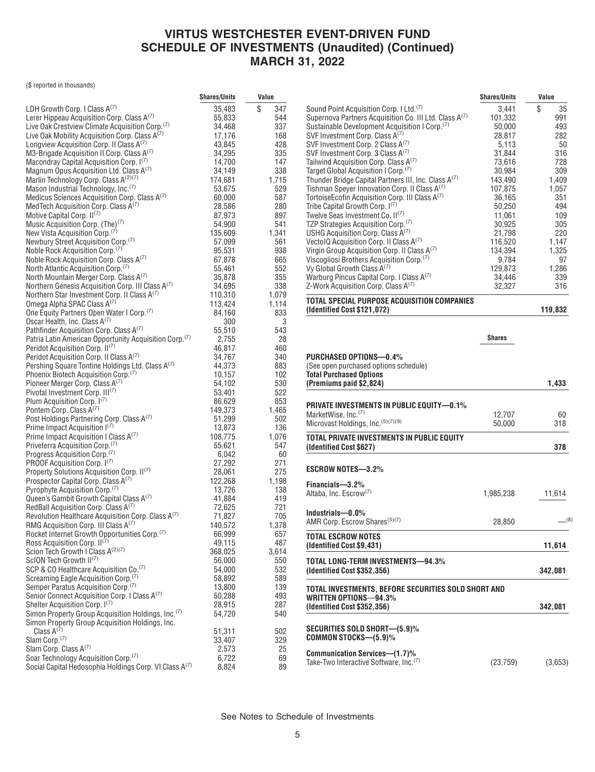(\$ reported in thousands)

|                                                                                                     | <b>Shares/Units</b> | Value     |
|-----------------------------------------------------------------------------------------------------|---------------------|-----------|
| LDH Growth Corp. I Class A(7)                                                                       | 35,483              | \$<br>347 |
| Lerer Hippeau Acquisition Corp. Class $A^{(7)}$                                                     | 55,833              | 544       |
| Live Oak Crestview Climate Acquisition Corp. <sup>(7)</sup>                                         | 34,468              | 337       |
| Live Oak Mobility Acquisition Corp. Class A <sup>(7)</sup>                                          | 17,176              | 168       |
| Longview Acquisition Corp. II Class A(7)                                                            | 43,845              | 428       |
| M3-Brigade Acquisition II Corp. Class A(7)                                                          | 34,295              | 335       |
| Macondray Capital Acquisition Corp. I <sup>(7)</sup>                                                | 14,700              | 147       |
| Magnum Opus Acquisition Ltd. Class A(7)                                                             | 34,149              | 338       |
| Marlin Technology Corp. Class A(2)(7)                                                               | 174,681             | 1,715     |
| Mason Industrial Technology, Inc. <sup>(7)</sup>                                                    | 53,675              | 529       |
| Medicus Sciences Acquisition Corp. Class A(7)                                                       | 60,000              | 587       |
| MedTech Acquisition Corp. Class A <sup>(7)</sup>                                                    | 28,586              | 280       |
| Motive Capital Corp. II <sup>(7)</sup>                                                              | 87,973              | 897       |
| Music Acquisition Corp. (The) <sup>(7)</sup>                                                        | 54,900              | 541       |
| New Vista Acquisition Corp. <sup>(7)</sup>                                                          | 135,609             | 1,341     |
| Newbury Street Acquisition Corp. <sup>(7)</sup>                                                     | 57,099              | 561       |
| Noble Rock Acquisition Corp. <sup>(7)</sup>                                                         | 95,531              | 938       |
| Noble Rock Acquisition Corp. Class A(7)                                                             | 67,878              | 665       |
| North Atlantic Acquisition Corp. <sup>(7)</sup>                                                     | 55,461              | 552       |
| North Mountain Merger Corp. Class A(7)                                                              | 35,878              | 355       |
| Northern Genesis Acquisition Corp. III Class A(7)                                                   | 34,695              | 338       |
| Northern Star Investment Corp. II Class A <sup>(7)</sup>                                            | 110,310             | 1,079     |
| Omega Alpha SPAC Class A <sup>(7)</sup>                                                             | 113,424             | 1,114     |
| One Equity Partners Open Water I Corp. <sup>(7)</sup>                                               | 84,160              | 833       |
| Oscar Health, Inc. Class A <sup>(7)</sup>                                                           | 300                 | 3         |
| Pathfinder Acquisition Corp. Class A(7)                                                             | 55,510              | 543       |
| Patria Latin American Opportunity Acquisition Corp. <sup>(7)</sup>                                  | 2,755               | 28        |
| Peridot Acquisition Corp. II <sup>(7)</sup>                                                         | 46,817              | 460       |
| Peridot Acquisition Corp. II Class A(7)                                                             | 34,767              | 340       |
| Pershing Square Tontine Holdings Ltd. Class A(7)                                                    | 44,373              | 883       |
| Phoenix Biotech Acquisition Corp. <sup>(7)</sup>                                                    | 10,157              | 102       |
| Pioneer Merger Corp. Class A <sup>(7)</sup>                                                         | 54,102              | 530       |
| Pivotal Investment Corp. III <sup>(7)</sup>                                                         | 53,401              | 522       |
| Plum Acquisition Corp. I(1)                                                                         | 86,629              | 853       |
| Pontem Corp. Class A <sup>(7)</sup>                                                                 | 149,373             | 1,465     |
| Post Holdings Partnering Corp. Class A(7)                                                           | 51,299              | 502       |
| Prime Impact Acquisition I(7)                                                                       | 13,873              | 136       |
| Prime Impact Acquisition I Class A(7)                                                               | 108,775             | 1,076     |
| Priveterra Acquisition Corp. <sup>(7)</sup>                                                         | 55,621              | 547       |
| Progress Acquisition Corp. <sup>(7)</sup>                                                           | 6,042               | 60        |
| PROOF Acquisition Corp. I <sup>(7)</sup>                                                            | 27,292              | 271       |
| Property Solutions Acquisition Corp. II(7)                                                          | 28,061              | 275       |
| Prospector Capital Corp. Class A(7)                                                                 | 122,268             | 1,198     |
| Pyrophyte Acquisition Corp. <sup>(7)</sup>                                                          | 13,726              | 138       |
| Queen's Gambit Growth Capital Class A(7)                                                            | 41,884              | 419       |
| RedBall Acquisition Corp. Class A(7)                                                                |                     | 721       |
| Revolution Healthcare Acquisition Corp. Class A(7)                                                  | 72,625<br>71,827    | 705       |
| RMG Acquisition Corp. III Class A <sup>(7)</sup>                                                    | 140,572             | 1,378     |
| Rocket Internet Growth Opportunities Corp. <sup>(7)</sup>                                           |                     | 657       |
| Ross Acquisition Corp. II <sup>(7)</sup>                                                            | 66,999<br>49,115    | 487       |
| Scion Tech Growth I Class A(2)(7)                                                                   | 368,025             | 3,614     |
| ScION Tech Growth II(7)                                                                             | 56,000              | 550       |
| SCP & CO Healthcare Acquisition Co. <sup>(7)</sup>                                                  |                     | 532       |
|                                                                                                     | 54,000              | 589       |
| Screaming Eagle Acquisition Corp. <sup>(7)</sup><br>Semper Paratus Acquisition Corp. <sup>(7)</sup> | 58,892              | 139       |
| Senior Connect Acquisition Corp. I Class A(7)                                                       | 13,800              | 493       |
| Shelter Acquisition Corp. I(7)                                                                      | 50,288<br>28,915    |           |
| Simon Property Group Acquisition Holdings, Inc. <sup>(7)</sup>                                      |                     | 287       |
|                                                                                                     | 54,720              | 540       |
| Simon Property Group Acquisition Holdings, Inc.<br>Class $A^{(7)}$                                  |                     |           |
| Slam Corp. <sup>(7)</sup>                                                                           | 51,311              | 502       |
| Slam Corp. Class A(7)                                                                               | 33,407              | 329       |
| Soar Technology Acquisition Corp. <sup>(7)</sup>                                                    | 2,573               | 25        |
|                                                                                                     | 6,722               | 69        |
| Social Capital Hedosophia Holdings Corp. VI Class A <sup>(7)</sup>                                  | 8,824               | 89        |

|                                                                                     | <b>Shares/Units</b> | Value    |
|-------------------------------------------------------------------------------------|---------------------|----------|
| Sound Point Acquisition Corp. I Ltd. <sup>(7)</sup>                                 | 3,441               | \$<br>35 |
| Supernova Partners Acquisition Co. III Ltd. Class A(7)                              | 101,332             | 991      |
| Sustainable Development Acquisition I Corp. <sup>(7)</sup>                          | 50,000              | 493      |
| SVF Investment Corp. Class A <sup>(7)</sup>                                         | 28,817              | 282      |
| SVF Investment Corp. 2 Class A <sup>(7)</sup>                                       | 5,113               | 50       |
| SVF Investment Corp. 3 Class A <sup>(7)</sup>                                       | 31,844              | 316      |
|                                                                                     |                     |          |
| Tailwind Acquisition Corp. Class A <sup>(7)</sup>                                   | 73,616              | 728      |
| Target Global Acquisition I Corp. <sup>(7)</sup>                                    | 30,984              | 309      |
| Thunder Bridge Capital Partners III, Inc. Class A <sup>(7)</sup>                    | 143,490             | 1,409    |
| Tishman Speyer Innovation Corp. II Class A <sup>(7)</sup>                           | 107,875             | 1,057    |
| TortoiseEcofin Acquisition Corp. III Class A <sup>(7)</sup>                         | 36,165              | 351      |
| Tribe Capital Growth Corp. 1(7)                                                     | 50,250              | 494      |
| Twelve Seas Investment Co. II <sup>(7)</sup>                                        | 11,061              | 109      |
| TZP Strategies Acquisition Corp. <sup>(7)</sup>                                     | 30,925              | 305      |
| USHG Acquisition Corp. Class $A^{(7)}$                                              | 21,798              | 220      |
| VectolQ Acquisition Corp. II Class A(7)                                             | 116,520             | 1,147    |
| Virgin Group Acquisition Corp. II Class A(7)                                        | 134,394             | 1,325    |
| Viscogliosi Brothers Acquisition Corp. <sup>(7)</sup>                               | 9,784               | 97       |
| Vy Global Growth Class A <sup>(7)</sup>                                             | 129,873             | 1,286    |
| Warburg Pincus Capital Corp. I Class A(7)                                           | 34,446              | 339      |
| Z-Work Acquisition Corp. Class A(7)                                                 | 32,327              | 316      |
|                                                                                     |                     |          |
| TOTAL SPECIAL PURPOSE ACQUISITION COMPANIES<br>(Identified Cost \$121,072)          |                     | 119,832  |
|                                                                                     |                     |          |
|                                                                                     | Shares              |          |
|                                                                                     |                     |          |
| <b>PURCHASED OPTIONS-0.4%</b>                                                       |                     |          |
| (See open purchased options schedule)                                               |                     |          |
| <b>Total Purchased Options</b>                                                      |                     |          |
| (Premiums paid \$2,824)                                                             |                     | 1,433    |
|                                                                                     |                     |          |
| PRIVATE INVESTMENTS IN PUBLIC EQUITY—0.1%                                           |                     |          |
| MarketWise, Inc. <sup>(7)</sup>                                                     | 12,707              | 60       |
| Microvast Holdings, Inc. (5)(7)(9)                                                  | 50,000              | 318      |
|                                                                                     |                     |          |
| TOTAL PRIVATE INVESTMENTS IN PUBLIC EQUITY                                          |                     |          |
| (Identified Cost \$627)                                                             |                     | 378      |
| <b>ESCROW NOTES-3.2%</b>                                                            |                     |          |
|                                                                                     |                     |          |
| Financials-3.2%                                                                     |                     |          |
| Altaba, Inc. Escrow <sup>(7)</sup>                                                  | 1,985,238           | 11,614   |
|                                                                                     |                     |          |
| Industrials-0.0%                                                                    |                     |          |
| AMR Corp. Escrow Shares <sup>(5)(7)</sup>                                           | 28,850              | (8)      |
|                                                                                     |                     |          |
| <b>TOTAL ESCROW NOTES</b><br>(Identified Cost \$9,431)                              |                     | 11,614   |
| TOTAL LONG-TERM INVESTMENTS—94.3%                                                   |                     |          |
| (Identified Cost \$352,356)                                                         |                     | 342,081  |
| TOTAL INVESTMENTS, BEFORE SECURITIES SOLD SHORT AND                                 |                     |          |
| WRITTEN OPTIONS—94.3%                                                               |                     |          |
| (Identified Cost \$352,356)                                                         |                     | 342,081  |
|                                                                                     |                     |          |
| SECURITIES SOLD SHORT—(5.9)%                                                        |                     |          |
| COMMON STOCKS-(5.9)%                                                                |                     |          |
|                                                                                     |                     |          |
|                                                                                     |                     |          |
| Communication Services—(1.7)%<br>Take-Two Interactive Software, Inc. <sup>(7)</sup> | (23, 759)           | (3,653)  |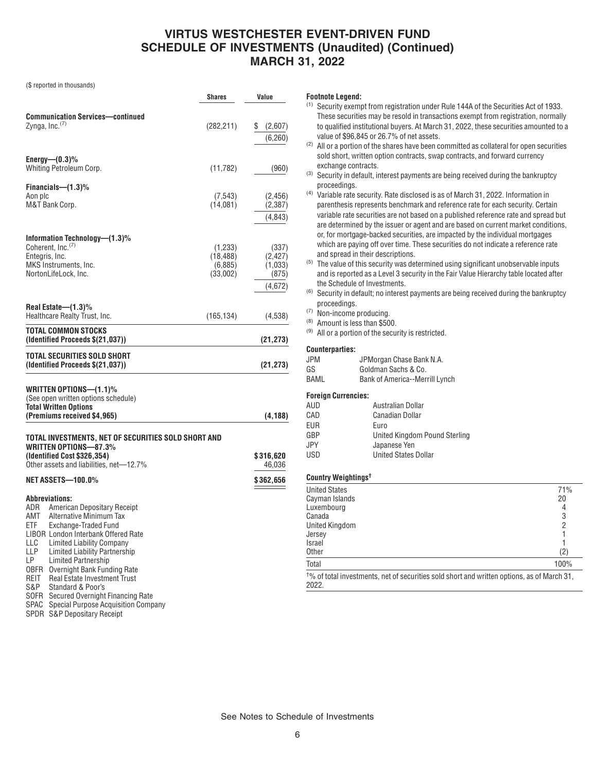(\$ reported in thousands)

|                                                                                                                                                                                                                                                                                                                                                                                                                                                                                                                                      | Shares                                      | Value                                            |
|--------------------------------------------------------------------------------------------------------------------------------------------------------------------------------------------------------------------------------------------------------------------------------------------------------------------------------------------------------------------------------------------------------------------------------------------------------------------------------------------------------------------------------------|---------------------------------------------|--------------------------------------------------|
| <b>Communication Services—continued</b><br>Zynga, Inc. $(7)$                                                                                                                                                                                                                                                                                                                                                                                                                                                                         | (282, 211)                                  | \$<br>(2,607)<br>(6, 260)                        |
| Energy— $(0.3)$ %<br>Whiting Petroleum Corp.                                                                                                                                                                                                                                                                                                                                                                                                                                                                                         | (11, 782)                                   | (960)                                            |
| Financials—(1.3)%<br>Aon plc<br>M&T Bank Corp.                                                                                                                                                                                                                                                                                                                                                                                                                                                                                       | (7, 543)<br>(14,081)                        | (2, 456)<br>(2, 387)<br>(4,843)                  |
| Information Technology—(1.3)%<br>Coherent, Inc. <sup>(7)</sup><br>Entegris, Inc.<br>MKS Instruments, Inc.<br>NortonLifeLock, Inc.                                                                                                                                                                                                                                                                                                                                                                                                    | (1,233)<br>(18, 488)<br>(6,885)<br>(33,002) | (337)<br>(2, 427)<br>(1,033)<br>(875)<br>(4,672) |
| Real Estate-(1.3)%<br>Healthcare Realty Trust, Inc.                                                                                                                                                                                                                                                                                                                                                                                                                                                                                  | (165, 134)                                  | (4,538)                                          |
| TOTAL COMMON STOCKS<br>(Identified Proceeds \$(21,037))                                                                                                                                                                                                                                                                                                                                                                                                                                                                              |                                             | (21, 273)                                        |
| TOTAL SECURITIES SOLD SHORT<br>(Identified Proceeds \$(21,037))                                                                                                                                                                                                                                                                                                                                                                                                                                                                      |                                             | (21, 273)                                        |
| WRITTEN OPTIONS-(1.1)%<br>(See open written options schedule)<br><b>Total Written Options</b><br>(Premiums received \$4,965)                                                                                                                                                                                                                                                                                                                                                                                                         |                                             | (4, 188)                                         |
| TOTAL INVESTMENTS, NET OF SECURITIES SOLD SHORT AND                                                                                                                                                                                                                                                                                                                                                                                                                                                                                  |                                             |                                                  |
| WRITTEN OPTIONS-87.3%<br>(Identified Cost \$326,354)<br>Other assets and liabilities, net-12.7%<br><b>NET ASSETS-100.0%</b>                                                                                                                                                                                                                                                                                                                                                                                                          |                                             | \$316,620<br>46,036<br>\$362,656                 |
| <b>Abbreviations:</b><br>ADR<br>American Depositary Receipt<br>AMT<br>Alternative Minimum Tax<br>ETF<br>Exchange-Traded Fund<br>LIBOR London Interbank Offered Rate<br><b>Limited Liability Company</b><br>LLC.<br>LLP<br>Limited Liability Partnership<br>LP —<br><b>Limited Partnership</b><br><b>OBFR</b> Overnight Bank Funding Rate<br><b>REIT</b><br><b>Real Estate Investment Trust</b><br>S&P.<br>Standard & Poor's<br><b>SOFR</b><br>Secured Overnight Financing Rate<br>SPAC<br><b>Special Purpose Acquisition Company</b> |                                             |                                                  |

SPDR S&P Depositary Receipt

#### **Footnote Legend:**

| $\rm ^{(1)}$ Security exempt from registration under Rule 144A of the Securities Act of 1933. |
|-----------------------------------------------------------------------------------------------|
| These securities may be resold in transactions exempt from registration, normally             |
| to qualified institutional buvers. At March 31, 2022, these securities amounted to a          |
| value of \$96,845 or 26.7% of net assets.                                                     |

- (2) All or a portion of the shares have been committed as collateral for open securities sold short, written option contracts, swap contracts, and forward currency exchange contracts.
- (3) Security in default, interest payments are being received during the bankruptcy proceedings.
- (4) Variable rate security. Rate disclosed is as of March 31, 2022. Information in parenthesis represents benchmark and reference rate for each security. Certain variable rate securities are not based on a published reference rate and spread but are determined by the issuer or agent and are based on current market conditions, or, for mortgage-backed securities, are impacted by the individual mortgages which are paying off over time. These securities do not indicate a reference rate and spread in their descriptions.
- $<sup>(5)</sup>$  The value of this security was determined using significant unobservable inputs</sup> and is reported as a Level 3 security in the Fair Value Hierarchy table located after the Schedule of Investments.
- (6) Security in default; no interest payments are being received during the bankruptcy proceedings.
- (7) Non-income producing.
- (8) Amount is less than \$500.
- (9) All or a portion of the security is restricted.

#### **Counterparties:**

| <b>JPM</b> | JPMorgan Chase Bank N.A.       |
|------------|--------------------------------|
| GS         | Goldman Sachs & Co.            |
| BAML       | Bank of America--Merrill Lynch |

## **Foreign Currencies:**

| AUD        | Australian Dollar             |
|------------|-------------------------------|
| CAD        | <b>Canadian Dollar</b>        |
| <b>EUR</b> | Euro                          |
| GBP        | United Kingdom Pound Sterling |
| JPY.       | Japanese Yen                  |
| <b>USD</b> | <b>United States Dollar</b>   |
|            |                               |

#### **Country Weightings†**

| <b>United States</b>                                                                                            | 71%  |
|-----------------------------------------------------------------------------------------------------------------|------|
| Cayman Islands                                                                                                  | 20   |
| Luxembourg                                                                                                      |      |
| Canada                                                                                                          | 3    |
| <b>United Kingdom</b>                                                                                           |      |
| Jersey                                                                                                          |      |
| <b>Israel</b>                                                                                                   |      |
| <b>Other</b>                                                                                                    | (2)  |
| Total                                                                                                           | 100% |
| <sup>t</sup> % of total investments, net of securities sold short and written options, as of March 31,<br>2022. |      |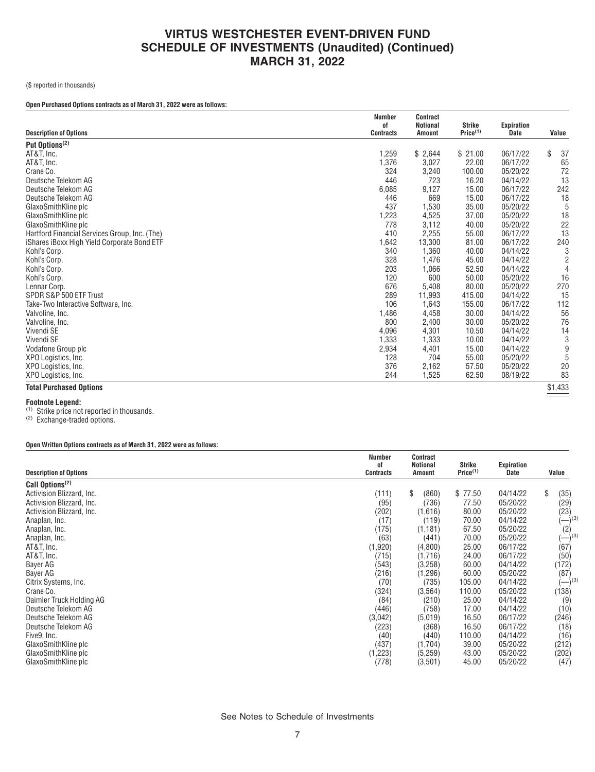(\$ reported in thousands)

## **Open Purchased Options contracts as of March 31, 2022 were as follows:**

|                                               | <b>Number</b>          | <b>Contract</b>                  | Strike               |                                  |          |
|-----------------------------------------------|------------------------|----------------------------------|----------------------|----------------------------------|----------|
| <b>Description of Options</b>                 | οf<br><b>Contracts</b> | <b>Notional</b><br><b>Amount</b> | Price <sup>(1)</sup> | <b>Expiration</b><br><b>Date</b> | Value    |
| Put Options <sup>(2)</sup>                    |                        |                                  |                      |                                  |          |
| AT&T, Inc.                                    | 1,259                  | \$2,644                          | \$21.00              | 06/17/22                         | \$<br>37 |
| AT&T, Inc.                                    | 1,376                  | 3,027                            | 22.00                | 06/17/22                         | 65       |
| Crane Co.                                     | 324                    | 3,240                            | 100.00               | 05/20/22                         | 72       |
| Deutsche Telekom AG                           | 446                    | 723                              | 16.20                | 04/14/22                         | 13       |
| Deutsche Telekom AG                           | 6,085                  | 9,127                            | 15.00                | 06/17/22                         | 242      |
| Deutsche Telekom AG                           | 446                    | 669                              | 15.00                | 06/17/22                         | 18       |
| GlaxoSmithKline plc                           | 437                    | 1,530                            | 35.00                | 05/20/22                         | 5        |
| GlaxoSmithKline plc                           | 1,223                  | 4,525                            | 37.00                | 05/20/22                         | 18       |
| GlaxoSmithKline plc                           | 778                    | 3,112                            | 40.00                | 05/20/22                         | 22       |
| Hartford Financial Services Group, Inc. (The) | 410                    | 2,255                            | 55.00                | 06/17/22                         | 13       |
| iShares iBoxx High Yield Corporate Bond ETF   | 1,642                  | 13,300                           | 81.00                | 06/17/22                         | 240      |
| Kohl's Corp.                                  | 340                    | 1,360                            | 40.00                | 04/14/22                         | 3        |
| Kohl's Corp.                                  | 328                    | 1,476                            | 45.00                | 04/14/22                         | 2        |
| Kohl's Corp.                                  | 203                    | 1,066                            | 52.50                | 04/14/22                         | 4        |
| Kohl's Corp.                                  | 120                    | 600                              | 50.00                | 05/20/22                         | 16       |
| Lennar Corp.                                  | 676                    | 5,408                            | 80.00                | 05/20/22                         | 270      |
| SPDR S&P 500 ETF Trust                        | 289                    | 11,993                           | 415.00               | 04/14/22                         | 15       |
| Take-Two Interactive Software, Inc.           | 106                    | 1,643                            | 155.00               | 06/17/22                         | 112      |
| Valvoline, Inc.                               | 1,486                  | 4,458                            | 30.00                | 04/14/22                         | 56       |
| Valvoline, Inc.                               | 800                    | 2,400                            | 30.00                | 05/20/22                         | 76       |
| Vivendi SE                                    | 4,096                  | 4,301                            | 10.50                | 04/14/22                         | 14       |
| Vivendi SE                                    | 1,333                  | 1,333                            | 10.00                | 04/14/22                         | 3        |
| Vodafone Group plc                            | 2,934                  | 4,401                            | 15.00                | 04/14/22                         | 9        |
| XPO Logistics, Inc.                           | 128                    | 704                              | 55.00                | 05/20/22                         | 5        |
| XPO Logistics, Inc.                           | 376                    | 2,162                            | 57.50                | 05/20/22                         | 20       |
| XPO Logistics, Inc.                           | 244                    | 1,525                            | 62.50                | 08/19/22                         | 83       |
| <b>Total Purchased Options</b>                |                        |                                  |                      |                                  | \$1,433  |

**Footnote Legend:**<br><sup>(1)</sup> Strike price not reported in thousands.

(2) Exchange-traded options.

#### **Open Written Options contracts as of March 31, 2022 were as follows:**

|                               | <b>Number</b>   | Contract                  |                                |                    |                      |
|-------------------------------|-----------------|---------------------------|--------------------------------|--------------------|----------------------|
| <b>Description of Options</b> | οf<br>Contracts | <b>Notional</b><br>Amount | Strike<br>Price <sup>(1)</sup> | Expiration<br>Date | Value                |
| Call Options <sup>(2)</sup>   |                 |                           |                                |                    |                      |
| Activision Blizzard, Inc.     | (111)           | \$<br>(860)               | \$77.50                        | 04/14/22           | \$<br>(35)           |
| Activision Blizzard, Inc.     | (95)            | (736)                     | 77.50                          | 05/20/22           | (29)                 |
| Activision Blizzard, Inc.     | (202)           | (1,616)                   | 80.00                          | 05/20/22           | (23)                 |
| Anaplan, Inc.                 | (17)            | (119)                     | 70.00                          | 04/14/22           | $(-)$ <sup>(3)</sup> |
| Anaplan, Inc.                 | (175)           | (1, 181)                  | 67.50                          | 05/20/22           | (2)                  |
| Anaplan, Inc.                 | (63)            | (441)                     | 70.00                          | 05/20/22           | $(-)$ <sup>(3)</sup> |
| AT&T, Inc.                    | (1,920)         | (4,800)                   | 25.00                          | 06/17/22           | (67)                 |
| AT&T, Inc.                    | (715)           | (1,716)                   | 24.00                          | 06/17/22           | (50)                 |
| Bayer AG                      | (543)           | (3,258)                   | 60.00                          | 04/14/22           | (172)                |
| Bayer AG                      | (216)           | (1, 296)                  | 60.00                          | 05/20/22           | (87)                 |
| Citrix Systems, Inc.          | (70)            | (735)                     | 105.00                         | 04/14/22           | $(-)^{(3)}$          |
| Crane Co.                     | (324)           | (3, 564)                  | 110.00                         | 05/20/22           | (138)                |
| Daimler Truck Holding AG      | (84)            | (210)                     | 25.00                          | 04/14/22           | (9)                  |
| Deutsche Telekom AG           | (446)           | (758)                     | 17.00                          | 04/14/22           | (10)                 |
| Deutsche Telekom AG           | (3,042)         | (5,019)                   | 16.50                          | 06/17/22           | (246)                |
| Deutsche Telekom AG           | (223)           | (368)                     | 16.50                          | 06/17/22           | (18)                 |
| Five9, Inc.                   | (40)            | (440)                     | 110.00                         | 04/14/22           | (16)                 |
| GlaxoSmithKline plc           | (437)           | (1,704)                   | 39.00                          | 05/20/22           | (212)                |
| GlaxoSmithKline plc           | (1,223)         | (5,259)                   | 43.00                          | 05/20/22           | (202)                |
| GlaxoSmithKline plc           | (778)           | (3,501)                   | 45.00                          | 05/20/22           | (47)                 |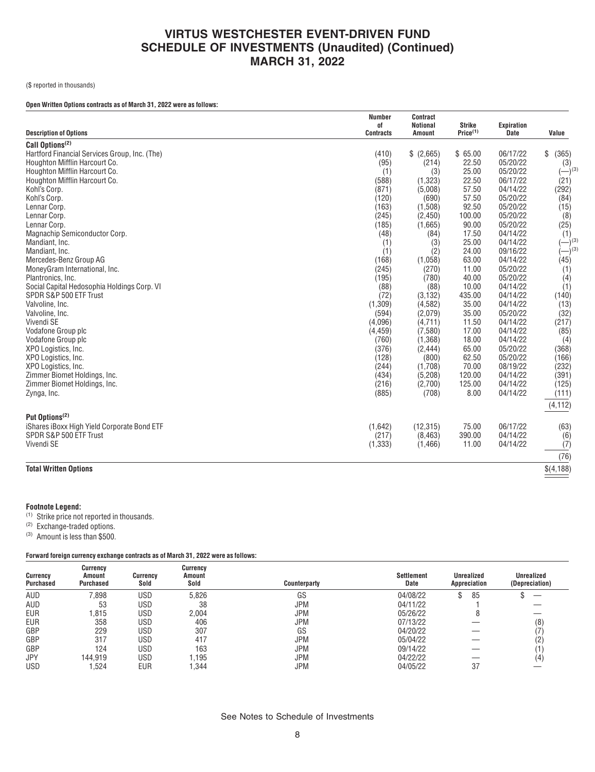(\$ reported in thousands)

#### **Open Written Options contracts as of March 31, 2022 were as follows:**

|                                               | <b>Number</b><br>0f | <b>Contract</b><br><b>Notional</b> | <b>Strike</b>        | <b>Expiration</b> |             |
|-----------------------------------------------|---------------------|------------------------------------|----------------------|-------------------|-------------|
| <b>Description of Options</b>                 | <b>Contracts</b>    | <b>Amount</b>                      | Price <sup>(1)</sup> | <b>Date</b>       | Value       |
| Call Options <sup>(2)</sup>                   |                     |                                    |                      |                   |             |
| Hartford Financial Services Group, Inc. (The) | (410)               | \$(2,665)                          | \$65.00              | 06/17/22          | \$<br>(365) |
| Houghton Mifflin Harcourt Co.                 | (95)                | (214)                              | 22.50                | 05/20/22          | (3)         |
| Houghton Mifflin Harcourt Co.                 | (1)                 | (3)                                | 25.00                | 05/20/22          | $(-)^{(3)}$ |
| Houghton Mifflin Harcourt Co.                 | (588)               | (1, 323)                           | 22.50                | 06/17/22          | (21)        |
| Kohl's Corp.                                  | (871)               | (5,008)                            | 57.50                | 04/14/22          | (292)       |
| Kohl's Corp.                                  | (120)               | (690)                              | 57.50                | 05/20/22          | (84)        |
| Lennar Corp.                                  | (163)               | (1,508)                            | 92.50                | 05/20/22          | (15)        |
| Lennar Corp.                                  | (245)               | (2,450)                            | 100.00               | 05/20/22          | (8)         |
| Lennar Corp.                                  | (185)               | (1,665)                            | 90.00                | 05/20/22          | (25)        |
| Magnachip Semiconductor Corp.                 | (48)                | (84)                               | 17.50                | 04/14/22          | (1)         |
| Mandiant, Inc.                                | (1)                 | (3)                                | 25.00                | 04/14/22          | $ (3)$      |
| Mandiant, Inc.                                | (1)                 | (2)                                | 24.00                | 09/16/22          | $ )^{(3)}$  |
| Mercedes-Benz Group AG                        | (168)               | (1,058)                            | 63.00                | 04/14/22          | (45)        |
| MoneyGram International, Inc.                 | (245)               | (270)                              | 11.00                | 05/20/22          | (1)         |
| Plantronics, Inc.                             | (195)               | (780)                              | 40.00                | 05/20/22          | (4)         |
| Social Capital Hedosophia Holdings Corp. VI   | (88)                | (88)                               | 10.00                | 04/14/22          | (1)         |
| SPDR S&P 500 ETF Trust                        | (72)                | (3, 132)                           | 435.00               | 04/14/22          | (140)       |
| Valvoline, Inc.                               | (1,309)             | (4,582)                            | 35.00                | 04/14/22          | (13)        |
| Valvoline, Inc.                               | (594)               | (2,079)                            | 35.00                | 05/20/22          | (32)        |
| Vivendi SE                                    | (4,096)             | (4,711)                            | 11.50                | 04/14/22          | (217)       |
| Vodafone Group plc                            | (4, 459)            | (7, 580)                           | 17.00                | 04/14/22          | (85)        |
| Vodafone Group plc                            | (760)               | (1, 368)                           | 18.00                | 04/14/22          | (4)         |
| XPO Logistics, Inc.                           | (376)               | (2, 444)                           | 65.00                | 05/20/22          | (368)       |
| XPO Logistics, Inc.                           | (128)               | (800)                              | 62.50                | 05/20/22          | (166)       |
| XPO Logistics, Inc.                           | (244)               | (1,708)                            | 70.00                | 08/19/22          | (232)       |
| Zimmer Biomet Holdings, Inc.                  | (434)               | (5, 208)                           | 120.00               | 04/14/22          | (391)       |
| Zimmer Biomet Holdings, Inc.                  | (216)               | (2,700)                            | 125.00               | 04/14/22          | (125)       |
| Zynga, Inc.                                   | (885)               | (708)                              | 8.00                 | 04/14/22          | (111)       |
|                                               |                     |                                    |                      |                   | (4, 112)    |
| Put Options <sup>(2)</sup>                    |                     |                                    |                      |                   |             |
| iShares iBoxx High Yield Corporate Bond ETF   | (1,642)             | (12, 315)                          | 75.00                | 06/17/22          | (63)        |
| SPDR S&P 500 ETF Trust                        | (217)               | (8, 463)                           | 390.00               | 04/14/22          | (6)         |
| Vivendi SE                                    | (1, 333)            | (1, 466)                           | 11.00                | 04/14/22          | (7)         |
|                                               |                     |                                    |                      |                   |             |
|                                               |                     |                                    |                      |                   | (76)        |
| <b>Total Written Options</b>                  |                     |                                    |                      |                   | \$(4,188)   |

## **Footnote Legend:**

(1) Strike price not reported in thousands.

(2) Exchange-traded options.

(3) Amount is less than \$500.

## **Forward foreign currency exchange contracts as of March 31, 2022 were as follows:**

| <b>Currency</b><br><b>Purchased</b> | <b>Currency</b><br>Amount<br>Purchased | Currency<br>Sold | Currency<br>Amount<br>Sold | Counterparty | <b>Settlement</b><br>Date | <b>Unrealized</b><br>Appreciation | <b>Unrealized</b><br>(Depreciation) |
|-------------------------------------|----------------------------------------|------------------|----------------------------|--------------|---------------------------|-----------------------------------|-------------------------------------|
| AUD                                 | 7,898                                  | USD              | 5.826                      | GS           | 04/08/22                  | 85                                |                                     |
| AUD                                 | 53                                     | USD              | 38                         | <b>JPM</b>   | 04/11/22                  |                                   |                                     |
| <b>EUR</b>                          | ,815                                   | USD              | 2,004                      | <b>JPM</b>   | 05/26/22                  |                                   |                                     |
| <b>EUR</b>                          | 358                                    | USD              | 406                        | <b>JPM</b>   | 07/13/22                  |                                   | (8)                                 |
| GBP                                 | 229                                    | USD              | 307                        | GS           | 04/20/22                  |                                   |                                     |
| GBP                                 | 317                                    | USD              | 417                        | <b>JPM</b>   | 05/04/22                  |                                   |                                     |
| GBP                                 | 124                                    | USD              | 163                        | <b>JPM</b>   | 09/14/22                  |                                   |                                     |
| <b>JPY</b>                          | 144.919                                | USD              | i,195                      | <b>JPM</b>   | 04/22/22                  |                                   | (4                                  |
| <b>USD</b>                          | .524                                   | EUR              | 1.344                      | <b>JPM</b>   | 04/05/22                  | 37                                |                                     |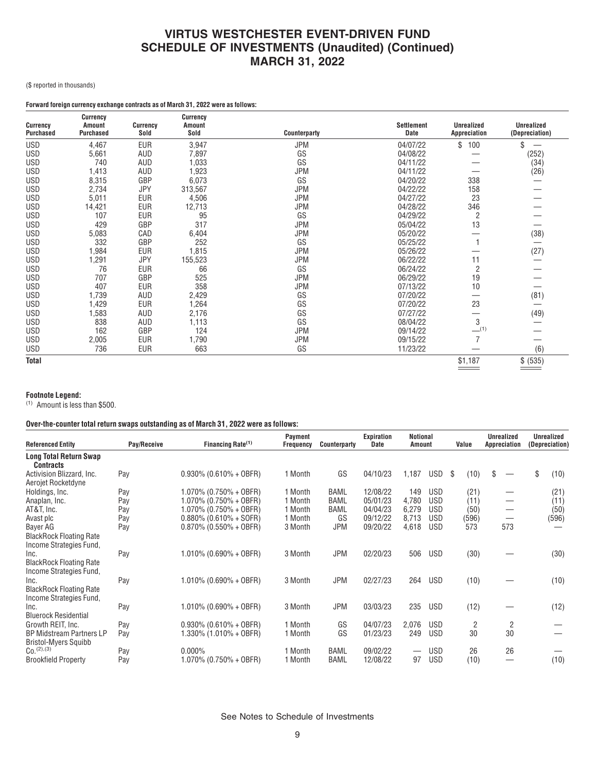(\$ reported in thousands)

## **Forward foreign currency exchange contracts as of March 31, 2022 were as follows:**

| Currency         | <b>Currency</b><br><b>Amount</b> | <b>Currency</b> | Currency<br><b>Amount</b> |              | Settlement | <b>Unrealized</b> | <b>Unrealized</b> |
|------------------|----------------------------------|-----------------|---------------------------|--------------|------------|-------------------|-------------------|
| <b>Purchased</b> | <b>Purchased</b>                 | Sold            | Sold                      | Counterparty | Date       | Appreciation      | (Depreciation)    |
| <b>USD</b>       | 4,467                            | <b>EUR</b>      | 3,947                     | JPM          | 04/07/22   | 100<br>\$         | \$                |
| <b>USD</b>       | 5,661                            | AUD             | 7,897                     | GS           | 04/08/22   |                   | (252)             |
| <b>USD</b>       | 740                              | AUD             | 1,033                     | GS           | 04/11/22   |                   | (34)              |
| <b>USD</b>       | 1,413                            | AUD             | 1,923                     | <b>JPM</b>   | 04/11/22   |                   | (26)              |
| <b>USD</b>       | 8,315                            | GBP             | 6,073                     | GS           | 04/20/22   | 338               |                   |
| <b>USD</b>       | 2,734                            | <b>JPY</b>      | 313,567                   | <b>JPM</b>   | 04/22/22   | 158               |                   |
| <b>USD</b>       | 5,011                            | EUR             | 4,506                     | <b>JPM</b>   | 04/27/22   | 23                |                   |
| <b>USD</b>       | 14,421                           | <b>EUR</b>      | 12,713                    | <b>JPM</b>   | 04/28/22   | 346               |                   |
| <b>USD</b>       | 107                              | <b>EUR</b>      | 95                        | GS           | 04/29/22   | 2                 |                   |
| <b>USD</b>       | 429                              | GBP             | 317                       | <b>JPM</b>   | 05/04/22   | 13                |                   |
| <b>USD</b>       | 5,083                            | CAD             | 6,404                     | <b>JPM</b>   | 05/20/22   |                   | (38)              |
| <b>USD</b>       | 332                              | GBP             | 252                       | GS           | 05/25/22   |                   |                   |
| <b>USD</b>       | 1,984                            | <b>EUR</b>      | 1,815                     | <b>JPM</b>   | 05/26/22   |                   | (27)              |
| <b>USD</b>       | 1,291                            | <b>JPY</b>      | 155,523                   | <b>JPM</b>   | 06/22/22   | 11                |                   |
| <b>USD</b>       | 76                               | <b>EUR</b>      | 66                        | GS           | 06/24/22   | $\overline{2}$    |                   |
| <b>USD</b>       | 707                              | GBP             | 525                       | <b>JPM</b>   | 06/29/22   | 19                |                   |
| <b>USD</b>       | 407                              | EUR             | 358                       | <b>JPM</b>   | 07/13/22   | 10                |                   |
| <b>USD</b>       | 1,739                            | AUD             | 2,429                     | GS           | 07/20/22   | –                 | (81)              |
| <b>USD</b>       | .429                             | <b>EUR</b>      | 1,264                     | GS           | 07/20/22   | 23                |                   |
| <b>USD</b>       | 1,583                            | AUD             | 2,176                     | GS           | 07/27/22   |                   | (49)              |
| <b>USD</b>       | 838                              | AUD             | 1,113                     | GS           | 08/04/22   | 3                 |                   |
| <b>USD</b>       | 162                              | GBP             | 124                       | <b>JPM</b>   | 09/14/22   | $-$ (1)           |                   |
| <b>USD</b>       | 2,005                            | <b>EUR</b>      | 1,790                     | <b>JPM</b>   | 09/15/22   | $\overline{7}$    |                   |
| USD              | 736                              | <b>EUR</b>      | 663                       | GS           | 11/23/22   |                   | (6)               |
| <b>Total</b>     |                                  |                 |                           |              |            | \$1,187           | \$ (535)          |

## **Footnote Legend:**

(1) Amount is less than \$500.

## **Over-the-counter total return swaps outstanding as of March 31, 2022 were as follows:**

| <b>Referenced Entity</b>                                          | Pay/Receive | Financing Rate <sup>(1)</sup> | Payment<br>Frequency | Counterparty | Expiration<br>Date | <b>Notional</b><br>Amount |            |     | Value | <b>Unrealized</b><br>Appreciation       | <b>Unrealized</b><br>(Depreciation) |
|-------------------------------------------------------------------|-------------|-------------------------------|----------------------|--------------|--------------------|---------------------------|------------|-----|-------|-----------------------------------------|-------------------------------------|
| Long Total Return Swap<br><b>Contracts</b>                        |             |                               |                      |              |                    |                           |            |     |       |                                         |                                     |
| Activision Blizzard, Inc.<br>Aerojet Rocketdyne                   | Pay         | $0.930\%$ (0.610% + OBFR)     | 1 Month              | GS           | 04/10/23           | 1,187                     | USD        | -\$ | (10)  | \$<br>$\overbrace{\phantom{123221111}}$ | \$<br>(10)                          |
| Holdings, Inc.                                                    | Pay         | $1.070\%$ (0.750% + OBFR)     | 1 Month              | BAML         | 12/08/22           | 149                       | USD        |     | (21)  |                                         | (21)                                |
| Anaplan, Inc.                                                     | Pay         | $1.070\%$ (0.750% + OBFR)     | 1 Month              | <b>BAML</b>  | 05/01/23           | 4,780                     | <b>USD</b> |     | (11)  |                                         | (11)                                |
| AT&T, Inc.                                                        | Pay         | $1.070\%$ (0.750% + OBFR)     | 1 Month              | BAML         | 04/04/23           | 6,279                     | <b>USD</b> |     | (50)  |                                         | (50)                                |
| Avast plc                                                         | Pay         | $0.880\%$ (0.610% + SOFR)     | 1 Month              | GS           | 09/12/22           | 8,713                     | <b>USD</b> |     | (596) |                                         | (596)                               |
| Bayer AG                                                          | Pay         | $0.870\%$ (0.550% + OBFR)     | 3 Month              | <b>JPM</b>   | 09/20/22           | 4,618                     | <b>USD</b> |     | 573   | 573                                     |                                     |
| <b>BlackRock Floating Rate</b><br>Income Strategies Fund.         |             |                               |                      |              |                    |                           |            |     |       |                                         |                                     |
| Inc.<br><b>BlackRock Floating Rate</b><br>Income Strategies Fund, | Pay         | $1.010\%$ (0.690% + OBFR)     | 3 Month              | <b>JPM</b>   | 02/20/23           | 506                       | USD        |     | (30)  |                                         | (30)                                |
| Inc.<br><b>BlackRock Floating Rate</b><br>Income Strategies Fund, | Pay         | $1.010\%$ (0.690% + OBFR)     | 3 Month              | <b>JPM</b>   | 02/27/23           | 264                       | <b>USD</b> |     | (10)  |                                         | (10)                                |
| Inc.<br><b>Bluerock Residential</b>                               | Pay         | $1.010\%$ (0.690% + OBFR)     | 3 Month              | <b>JPM</b>   | 03/03/23           | 235                       | <b>USD</b> |     | (12)  |                                         | (12)                                |
| Growth REIT, Inc.                                                 | Pay         | $0.930\%$ (0.610% + OBFR)     | 1 Month              | GS           | 04/07/23           | 2,076                     | <b>USD</b> |     | 2     | 2                                       |                                     |
| <b>BP Midstream Partners LP</b><br><b>Bristol-Myers Squibb</b>    | Pay         | $1.330\%$ (1.010% + OBFR)     | 1 Month              | GS           | 01/23/23           | 249                       | <b>USD</b> |     | 30    | 30                                      |                                     |
| $C_0$ . $(2)$ , $(3)$                                             | Pay         | $0.000\%$                     | 1 Month              | <b>BAML</b>  | 09/02/22           |                           | <b>USD</b> |     | 26    | 26                                      |                                     |
| <b>Brookfield Property</b>                                        | Pay         | $1.070\%$ (0.750% + OBFR)     | 1 Month              | <b>BAML</b>  | 12/08/22           | 97                        | <b>USD</b> |     | (10)  |                                         | (10)                                |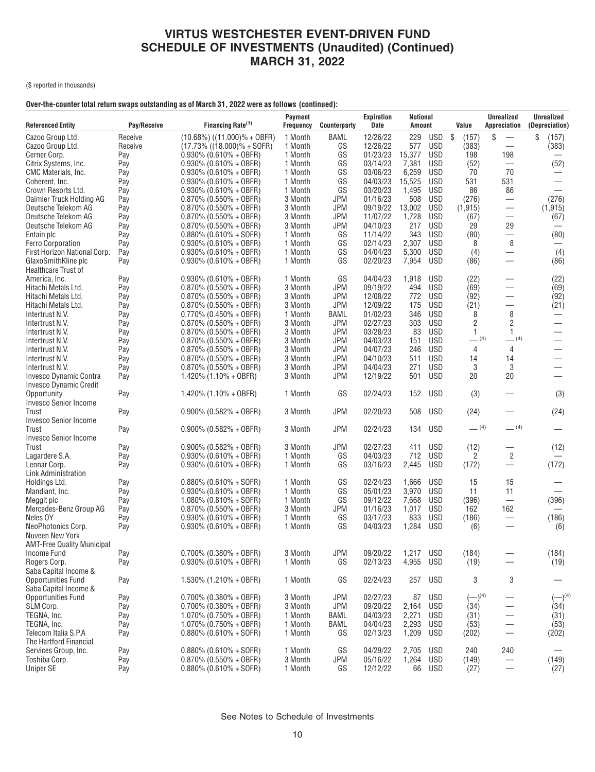(\$ reported in thousands)

## **Over-the-counter total return swaps outstanding as of March 31, 2022 were as follows (continued):**

| <b>Referenced Entity</b>             | Pay/Receive | Financing Rate <sup>(1)</sup>     | Payment<br><b>Frequency</b> | Counterparty | <b>Expiration</b><br>Date | <b>Notional</b><br><b>Amount</b> |            | Value          | <b>Unrealized</b><br>Appreciation | <b>Unrealized</b><br>(Depreciation) |
|--------------------------------------|-------------|-----------------------------------|-----------------------------|--------------|---------------------------|----------------------------------|------------|----------------|-----------------------------------|-------------------------------------|
| Cazoo Group Ltd.                     | Receive     | $(10.68\%)$ $((11.000)\% + 0BFR)$ | 1 Month                     | BAML         | 12/26/22                  | 229                              | USD        | -\$<br>(157)   | \$                                | \$<br>(157)                         |
| Cazoo Group Ltd.                     | Receive     | $(17.73\%$ $((18.000)\% + SOFR)$  | 1 Month                     | GS           | 12/26/22                  | 577                              | <b>USD</b> | (383)          |                                   | (383)                               |
| Cerner Corp.                         | Pay         | $0.930\%$ (0.610% + OBFR)         | 1 Month                     | GS           | 01/23/23                  | 15,377                           | <b>USD</b> | 198            | 198                               |                                     |
| Citrix Systems, Inc.                 | Pay         | $0.930\%$ (0.610% + OBFR)         | 1 Month                     | GS           | 03/14/23                  | 7,381                            | <b>USD</b> | (52)           |                                   | (52)                                |
| CMC Materials, Inc.                  | Pay         | $0.930\%$ (0.610% + OBFR)         | 1 Month                     | GS           | 03/06/23                  | 6,259                            | <b>USD</b> | 70             | 70                                |                                     |
| Coherent, Inc.                       | Pay         | $0.930\%$ (0.610% + OBFR)         | 1 Month                     | GS           | 04/03/23                  | 15,525                           | <b>USD</b> | 531            | 531                               |                                     |
| Crown Resorts Ltd.                   | Pay         | $0.930\%$ (0.610% + OBFR)         | 1 Month                     | GS           | 03/20/23                  | 1,495                            | USD        | 86             | 86                                |                                     |
| Daimler Truck Holding AG             | Pay         | $0.870\%$ (0.550% + OBFR)         | 3 Month                     | <b>JPM</b>   | 01/16/23                  | 508                              | USD        | (276)          |                                   | (276)                               |
| Deutsche Telekom AG                  | Pay         | $0.870\%$ (0.550% + OBFR)         | 3 Month                     | JPM          | 09/19/22                  | 13,002                           | USD        | (1, 915)       |                                   | (1, 915)                            |
| Deutsche Telekom AG                  | Pay         | $0.870\%$ (0.550% + OBFR)         | 3 Month                     | <b>JPM</b>   | 11/07/22                  | 1,728                            | <b>USD</b> | (67)           |                                   | (67)                                |
| Deutsche Telekom AG                  | Pay         | $0.870\%$ (0.550% + OBFR)         | 3 Month                     | <b>JPM</b>   | 04/10/23                  | 217                              | USD        | 29             | 29                                |                                     |
| Entain plc                           | Pay         | $0.880\%$ (0.610% + SOFR)         | 1 Month                     | GS           | 11/14/22                  | 343                              | USD        | (80)           |                                   | (80)                                |
| <b>Ferro Corporation</b>             | Pay         | $0.930\%$ (0.610% + OBFR)         | 1 Month                     | GS           | 02/14/23                  | 2,307                            | USD        | 8              | 8                                 |                                     |
| First Horizon National Corp.         | Pay         | $0.930\%$ (0.610% + OBFR)         | 1 Month                     | GS           | 04/04/23                  | 5,300                            | <b>USD</b> | (4)            |                                   | (4)                                 |
| GlaxoSmithKline plc                  | Pay         | $0.930\%$ (0.610% + OBFR)         | 1 Month                     | GS           | 02/20/23                  | 7,954                            | USD        | (86)           |                                   | (86)                                |
| <b>Healthcare Trust of</b>           |             |                                   |                             |              |                           |                                  |            |                |                                   |                                     |
| America, Inc.                        | Pay         | $0.930\%$ (0.610% + OBFR)         | 1 Month                     | GS           | 04/04/23                  | 1,918                            | <b>USD</b> | (22)           |                                   | (22)                                |
| Hitachi Metals Ltd.                  | Pay         | $0.870\%$ (0.550% + OBFR)         | 3 Month                     | JPM          | 09/19/22                  | 494                              | <b>USD</b> | (69)           | —                                 | (69)                                |
| Hitachi Metals Ltd.                  | Pay         | $0.870\%$ (0.550% + OBFR)         | 3 Month                     | <b>JPM</b>   | 12/08/22                  | 772                              | USD        | (92)           | —                                 | (92)                                |
| Hitachi Metals Ltd.                  | Pay         | $0.870\%$ (0.550% + OBFR)         | 3 Month                     | <b>JPM</b>   | 12/09/22                  | 175                              | <b>USD</b> | (21)           | $\overline{\phantom{0}}$          | (21)                                |
| Intertrust N.V.                      | Pay         | $0.770\%$ (0.450% + OBFR)         | 1 Month                     | BAML         | 01/02/23                  | 346                              | <b>USD</b> | 8              | 8                                 | $\overline{\phantom{0}}$            |
| Intertrust N.V.                      | Pay         | $0.870\%$ (0.550% + OBFR)         | 3 Month                     | <b>JPM</b>   | 02/27/23                  | 303                              | <b>USD</b> | $\overline{c}$ | $\sqrt{2}$                        | $\overline{\phantom{0}}$            |
| Intertrust N.V.                      | Pay         | $0.870\%$ (0.550% + OBFR)         | 3 Month                     | <b>JPM</b>   | 03/28/23                  | 83                               | USD        | $\mathbf 1$    | $\mathbf{1}$                      | $\overline{\phantom{0}}$            |
| Intertrust N.V.                      | Pay         | $0.870\%$ (0.550% + OBFR)         | 3 Month                     | <b>JPM</b>   | 04/03/23                  | 151                              | <b>USD</b> | $-$ (4)        | $-$ (4)                           | —                                   |
| Intertrust N.V.                      | Pay         | $0.870\%$ (0.550% + OBFR)         | 3 Month                     | <b>JPM</b>   | 04/07/23                  | 246                              | <b>USD</b> | $\overline{4}$ | $\overline{4}$                    |                                     |
| Intertrust N.V.                      | Pay         | $0.870\%$ (0.550% + OBFR)         | 3 Month                     | <b>JPM</b>   | 04/10/23                  | 511                              | <b>USD</b> | 14             | 14                                | $\overline{\phantom{0}}$            |
| Intertrust N.V.                      | Pay         | $0.870\%$ (0.550% + OBFR)         | 3 Month                     | <b>JPM</b>   | 04/04/23                  | 271                              | <b>USD</b> | 3              | 3                                 |                                     |
| Invesco Dynamic Contra               | Pay         | $1.420\%$ (1.10% + OBFR)          | 3 Month                     | JPM          | 12/19/22                  | 501                              | USD        | 20             | 20                                |                                     |
| Invesco Dynamic Credit               |             |                                   |                             |              |                           |                                  |            |                |                                   |                                     |
| Opportunity<br>Invesco Senior Income | Pay         | $1.420\%$ (1.10% + OBFR)          | 1 Month                     | GS           | 02/24/23                  | 152                              | <b>USD</b> | (3)            |                                   | (3)                                 |
| Trust                                | Pay         | $0.900\%$ (0.582% + OBFR)         | 3 Month                     | <b>JPM</b>   | 02/20/23                  | 508                              | <b>USD</b> | (24)           |                                   | (24)                                |
| <b>Invesco Senior Income</b>         |             |                                   |                             |              |                           |                                  |            |                |                                   |                                     |
| Trust                                | Pay         | $0.900\%$ (0.582% + OBFR)         | 3 Month                     | JPM          | 02/24/23                  | 134                              | <b>USD</b> | $-$ (4)        | $-$ (4)                           |                                     |
| <b>Invesco Senior Income</b>         |             |                                   |                             |              |                           |                                  |            |                |                                   |                                     |
| Trust                                | Pay         | $0.900\%$ (0.582% + OBFR)         | 3 Month                     | JPM          | 02/27/23                  | 411                              | <b>USD</b> | (12)           |                                   | (12)                                |
| Lagardere S.A.                       | Pay         | $0.930\%$ (0.610% + OBFR)         | 1 Month                     | GS           | 04/03/23                  | 712                              | USD        | 2              | $\overline{2}$                    |                                     |
| Lennar Corp.                         | Pay         | $0.930\%$ (0.610% + OBFR)         | 1 Month                     | GS           | 03/16/23                  | 2,445                            | <b>USD</b> | (172)          | $\overline{\phantom{0}}$          | (172)                               |
| Link Administration                  |             |                                   |                             |              |                           |                                  |            |                |                                   |                                     |
| Holdings Ltd.                        | Pay         | $0.880\%$ (0.610% + SOFR)         | 1 Month                     | GS           | 02/24/23                  | 1,666                            | <b>USD</b> | 15             | 15                                |                                     |
| Mandiant, Inc.                       | Pay         | $0.930\%$ (0.610% + OBFR)         | 1 Month                     | GS           | 05/01/23                  | 3,970                            | USD        | 11             | 11                                |                                     |
| Meggit plc                           | Pay         | $1.080\%$ (0.810% + SOFR)         | 1 Month                     | GS           | 09/12/22                  | 7,668                            | <b>USD</b> | (396)          |                                   | (396)                               |
| Mercedes-Benz Group AG               | Pay         | $0.870\%$ (0.550% + OBFR)         | 3 Month                     | <b>JPM</b>   | 01/16/23                  | 1,017                            | USD        | 162            | 162                               |                                     |
| Neles OY                             | Pay         | $0.930\%$ (0.610% + OBFR)         | 1 Month                     | GS           | 03/17/23                  | 833                              | <b>USD</b> | (186)          | $\overbrace{\phantom{13333}}$     | (186)                               |
| NeoPhotonics Corp.                   | Pay         | $0.930\%$ (0.610% + OBFR)         | 1 Month                     | GS           | 04/03/23                  | 1,284                            | USD        | (6)            |                                   | (6)                                 |
| Nuveen New York                      |             |                                   |                             |              |                           |                                  |            |                |                                   |                                     |
| <b>AMT-Free Quality Municipal</b>    |             |                                   |                             |              |                           |                                  |            |                |                                   |                                     |
| Income Fund                          | Pay         | $0.700\%$ (0.380% + OBFR)         | 3 Month                     | <b>JPM</b>   | 09/20/22                  | 1,217 USD                        |            | (184)          |                                   | (184)                               |
| Rogers Corp.                         | Pay         | $0.930\%$ (0.610% + OBFR)         | 1 Month                     | GS           | 02/13/23                  | 4,955                            | USD        | (19)           | $\overbrace{\phantom{13333}}$     | (19)                                |
| Saba Capital Income &                |             |                                   |                             |              |                           |                                  |            |                |                                   |                                     |
| <b>Opportunities Fund</b>            | Pay         | $1.530\%$ (1.210% + OBFR)         | 1 Month                     | GS           | 02/24/23                  | 257                              | USD        | 3              | 3                                 |                                     |
| Saba Capital Income &                |             |                                   |                             |              |                           |                                  |            |                |                                   |                                     |
| Opportunities Fund                   | Pay         | $0.700\%$ (0.380% + OBFR)         | 3 Month                     | <b>JPM</b>   | 02/27/23                  | 87                               | USD        | $(-)^{(4)}$    |                                   | $(-)^{(4)}$                         |
| SLM Corp.                            | Pay         | $0.700\%$ (0.380% + OBFR)         | 3 Month                     | <b>JPM</b>   | 09/20/22                  | 2,164                            | <b>USD</b> | (34)           | —                                 | (34)                                |
| TEGNA, Inc.                          | Pay         | $1.070\%$ (0.750% + OBFR)         | 1 Month                     | BAML         | 04/03/23                  | 2,271                            | USD        | (31)           | $\overline{\phantom{0}}$          | (31)                                |
| TEGNA, Inc.                          | Pay         | $1.070\%$ (0.750% + OBFR)         | 1 Month                     | BAML         | 04/04/23                  | 2,293                            | <b>USD</b> | (53)           |                                   | (53)                                |
| Telecom Italia S.P.A                 | Pay         | $0.880\%$ (0.610% + SOFR)         | 1 Month                     | GS           | 02/13/23                  | 1,209                            | USD        | (202)          | $\overline{\phantom{0}}$          | (202)                               |
| The Hartford Financial               |             |                                   |                             |              |                           |                                  |            |                |                                   |                                     |
| Services Group, Inc.                 | Pay         | $0.880\%$ (0.610% + SOFR)         | 1 Month                     | GS           | 04/29/22                  | 2,705                            | <b>USD</b> | 240            | 240                               |                                     |
| Toshiba Corp.                        | Pay         | $0.870\%$ (0.550% + OBFR)         | 3 Month                     | <b>JPM</b>   | 05/16/22                  | 1,264                            | <b>USD</b> | (149)          |                                   | (149)                               |
| <b>Uniper SE</b>                     | Pay         | $0.880\%$ (0.610% + SOFR)         | 1 Month                     | GS           | 12/12/22                  |                                  | 66 USD     | (27)           | $\overline{\phantom{0}}$          | (27)                                |
|                                      |             |                                   |                             |              |                           |                                  |            |                |                                   |                                     |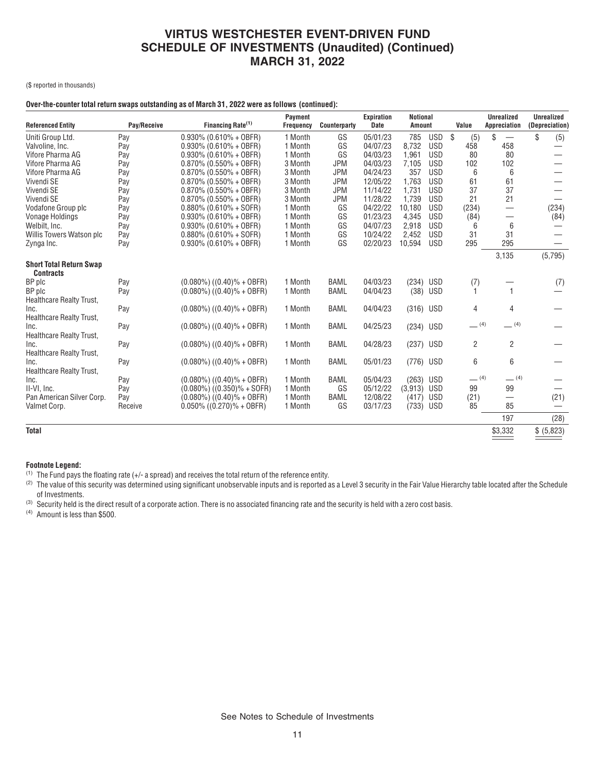(\$ reported in thousands)

## **Over-the-counter total return swaps outstanding as of March 31, 2022 were as follows (continued):**

| <b>Referenced Entity</b>                           | Pay/Receive | Financing Rate <sup>(1)</sup>    | Payment<br>Frequency | Counterparty | <b>Expiration</b><br><b>Date</b> | <b>Notional</b><br>Amount |            | Value     | <b>Unrealized</b><br>Appreciation       | <b>Unrealized</b><br>(Depreciation) |
|----------------------------------------------------|-------------|----------------------------------|----------------------|--------------|----------------------------------|---------------------------|------------|-----------|-----------------------------------------|-------------------------------------|
| Uniti Group Ltd.                                   | Pay         | $0.930\%$ (0.610% + OBFR)        | 1 Month              | GS           | 05/01/23                         | 785                       | USD        | \$<br>(5) | \$<br>$\overbrace{\phantom{123221111}}$ | \$<br>(5)                           |
| Valvoline, Inc.                                    | Pay         | $0.930\%$ (0.610% + OBFR)        | 1 Month              | GS           | 04/07/23                         | 8,732                     | <b>USD</b> | 458       | 458                                     |                                     |
| Vifore Pharma AG                                   | Pay         | $0.930\%$ (0.610% + OBFR)        | 1 Month              | GS           | 04/03/23                         | 1,961                     | <b>USD</b> | 80        | 80                                      |                                     |
| Vifore Pharma AG                                   | Pay         | $0.870\%$ (0.550% + OBFR)        | 3 Month              | <b>JPM</b>   | 04/03/23                         | 7,105                     | <b>USD</b> | 102       | 102                                     |                                     |
| Vifore Pharma AG                                   | Pay         | $0.870\%$ (0.550% + OBFR)        | 3 Month              | <b>JPM</b>   | 04/24/23                         | 357                       | <b>USD</b> | 6         | 6                                       |                                     |
| Vivendi SE                                         | Pay         | $0.870\%$ (0.550% + OBFR)        | 3 Month              | <b>JPM</b>   | 12/05/22                         | 1.763                     | <b>USD</b> | 61        | 61                                      |                                     |
| Vivendi SE                                         | Pay         | $0.870\%$ (0.550% + OBFR)        | 3 Month              | <b>JPM</b>   | 11/14/22                         | 1.731                     | <b>USD</b> | 37        | 37                                      |                                     |
| Vivendi SE                                         | Pay         | $0.870\%$ (0.550% + OBFR)        | 3 Month              | <b>JPM</b>   | 11/28/22                         | 1.739                     | <b>USD</b> | 21        | 21                                      |                                     |
| Vodafone Group plc                                 | Pay         | $0.880\%$ (0.610% + SOFR)        | 1 Month              | GS           | 04/22/22                         | 10,180                    | <b>USD</b> | (234)     | $\overbrace{\phantom{12322111}}$        | (234)                               |
| <b>Vonage Holdings</b>                             | Pay         | $0.930\%$ (0.610% + OBFR)        | 1 Month              | GS           | 01/23/23                         | 4,345                     | <b>USD</b> | (84)      | $\overbrace{\phantom{12322111}}$        | (84)                                |
| Welbilt, Inc.                                      | Pay         | $0.930\%$ (0.610% + OBFR)        | 1 Month              | GS           | 04/07/23                         | 2,918                     | <b>USD</b> | 6         | 6                                       |                                     |
| Willis Towers Watson plc                           | Pay         | $0.880\%$ (0.610% + SOFR)        | 1 Month              | GS           | 10/24/22                         | 2,452                     | <b>USD</b> | 31        | 31                                      |                                     |
| Zynga Inc.                                         | Pay         | $0.930\%$ (0.610% + OBFR)        | 1 Month              | GS           | 02/20/23                         | 10,594                    | <b>USD</b> | 295       | 295                                     |                                     |
|                                                    |             |                                  |                      |              |                                  |                           |            |           | 3,135                                   | (5,795)                             |
| <b>Short Total Return Swap</b><br><b>Contracts</b> |             |                                  |                      |              |                                  |                           |            |           |                                         |                                     |
| BP plc                                             | Pay         | $(0.080\%)$ $((0.40)\% + 0BFR)$  | 1 Month              | <b>BAML</b>  | 04/03/23                         | (234) USD                 |            | (7)       |                                         | (7)                                 |
| BP plc                                             | Pay         | $(0.080\%)$ $((0.40)\% + 0BFR)$  | 1 Month              | <b>BAML</b>  | 04/04/23                         | (38)                      | USD        |           | $\mathbf{1}$                            |                                     |
| Healthcare Realty Trust,                           |             |                                  |                      |              |                                  |                           |            |           |                                         |                                     |
| Inc.                                               | Pay         | $(0.080\%)$ $((0.40)\% + 0BFR)$  | 1 Month              | <b>BAML</b>  | 04/04/23                         | (316) USD                 |            | 4         | 4                                       |                                     |
| Healthcare Realty Trust,                           |             |                                  |                      |              |                                  |                           |            |           |                                         |                                     |
| Inc.                                               | Pay         | $(0.080\%)$ $((0.40)\% + 0BFR)$  | 1 Month              | <b>BAML</b>  | 04/25/23                         | (234) USD                 |            | $-$ (4)   | (4)                                     |                                     |
| Healthcare Realty Trust,                           |             |                                  |                      |              |                                  |                           |            |           |                                         |                                     |
| Inc.                                               | Pay         | $(0.080\%)$ $((0.40)\% + 0BFR)$  | 1 Month              | <b>BAML</b>  | 04/28/23                         | (237) USD                 |            | 2         | 2                                       |                                     |
| Healthcare Realty Trust,                           |             |                                  |                      |              |                                  |                           |            |           |                                         |                                     |
| Inc.                                               | Pay         | $(0.080\%)$ $((0.40)\% + 0BFR)$  | 1 Month              | <b>BAML</b>  | 05/01/23                         | (776) USD                 |            | 6         | 6                                       |                                     |
| Healthcare Realty Trust,                           |             |                                  |                      |              |                                  |                           |            |           |                                         |                                     |
| Inc.                                               | Pay         | $(0.080\%)$ $((0.40)\% + 0BFR)$  | 1 Month              | <b>BAML</b>  | 05/04/23                         | (263) USD                 |            | $-$ (4)   | $-$ (4)                                 |                                     |
| II-VI. Inc.                                        | Pay         | $(0.080\%)$ $((0.350)\% + SOFR)$ | 1 Month              | GS           | 05/12/22                         | (3,913)                   | USD        | 99        | 99                                      |                                     |
| Pan American Silver Corp.                          | Pay         | $(0.080\%)$ $((0.40)\% + 0BFR)$  | 1 Month              | <b>BAML</b>  | 12/08/22                         | (417)                     | USD        | (21)      | $\overline{\phantom{0}}$                | (21)                                |
| Valmet Corp.                                       | Receive     | $0.050\%$ ((0.270)% + OBFR)      | 1 Month              | GS           | 03/17/23                         | (733) USD                 |            | 85        | 85                                      | $\overline{\phantom{0}}$            |
|                                                    |             |                                  |                      |              |                                  |                           |            |           | 197                                     | (28)                                |
| <b>Total</b>                                       |             |                                  |                      |              |                                  |                           |            |           | \$3,332                                 | \$ (5,823)                          |

## **Footnote Legend:**

(1) The Fund pays the floating rate (+/- a spread) and receives the total return of the reference entity.

(2) The value of this security was determined using significant unobservable inputs and is reported as a Level 3 security in the Fair Value Hierarchy table located after the Schedule of Investments.

(3) Security held is the direct result of a corporate action. There is no associated financing rate and the security is held with a zero cost basis.

(4) Amount is less than \$500.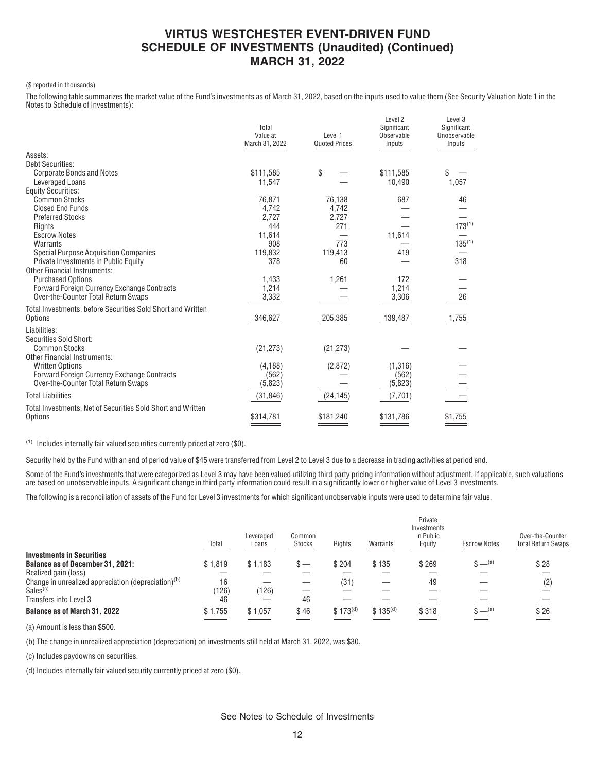#### (\$ reported in thousands)

The following table summarizes the market value of the Fund's investments as of March 31, 2022, based on the inputs used to value them (See Security Valuation Note 1 in the Notes to Schedule of Investments):

|                                                             | Total<br>Value at<br>March 31, 2022 | Level 1<br><b>Quoted Prices</b> | Level 2<br>Significant<br>Observable<br>Inputs | Level 3<br>Significant<br>Unobservable<br>Inputs |
|-------------------------------------------------------------|-------------------------------------|---------------------------------|------------------------------------------------|--------------------------------------------------|
| Assets:                                                     |                                     |                                 |                                                |                                                  |
| <b>Debt Securities:</b>                                     |                                     |                                 |                                                |                                                  |
| <b>Corporate Bonds and Notes</b>                            | \$111,585                           | \$                              | \$111,585                                      | \$                                               |
| Leveraged Loans                                             | 11,547                              |                                 | 10,490                                         | 1,057                                            |
| <b>Equity Securities:</b>                                   |                                     |                                 |                                                |                                                  |
| <b>Common Stocks</b>                                        | 76,871                              | 76,138                          | 687                                            | 46                                               |
| <b>Closed End Funds</b>                                     | 4,742                               | 4,742                           |                                                |                                                  |
| <b>Preferred Stocks</b>                                     | 2,727<br>444                        | 2,727                           |                                                | $173^{(1)}$                                      |
| Rights<br><b>Escrow Notes</b>                               |                                     | 271                             | 11,614                                         |                                                  |
| Warrants                                                    | 11,614<br>908                       | 773                             |                                                | $135^{(1)}$                                      |
| <b>Special Purpose Acquisition Companies</b>                | 119,832                             | 119,413                         | 419                                            |                                                  |
| Private Investments in Public Equity                        | 378                                 | 60                              |                                                | 318                                              |
| <b>Other Financial Instruments:</b>                         |                                     |                                 |                                                |                                                  |
| <b>Purchased Options</b>                                    | 1,433                               | 1,261                           | 172                                            |                                                  |
| <b>Forward Foreign Currency Exchange Contracts</b>          | 1,214                               |                                 | 1,214                                          |                                                  |
| Over-the-Counter Total Return Swaps                         | 3,332                               |                                 | 3,306                                          | 26                                               |
|                                                             |                                     |                                 |                                                |                                                  |
| Total Investments, before Securities Sold Short and Written |                                     |                                 |                                                |                                                  |
| Options                                                     | 346,627                             | 205,385                         | 139,487                                        | 1,755                                            |
| Liabilities:                                                |                                     |                                 |                                                |                                                  |
| Securities Sold Short:                                      |                                     |                                 |                                                |                                                  |
| <b>Common Stocks</b>                                        | (21, 273)                           | (21, 273)                       |                                                |                                                  |
| <b>Other Financial Instruments:</b>                         |                                     |                                 |                                                |                                                  |
| <b>Written Options</b>                                      | (4, 188)                            | (2,872)                         | (1,316)                                        |                                                  |
| <b>Forward Foreign Currency Exchange Contracts</b>          | (562)                               |                                 | (562)                                          |                                                  |
| Over-the-Counter Total Return Swaps                         | (5,823)                             |                                 | (5,823)                                        |                                                  |
| <b>Total Liabilities</b>                                    | (31, 846)                           | (24, 145)                       | (7,701)                                        |                                                  |
| Total Investments, Net of Securities Sold Short and Written |                                     |                                 |                                                |                                                  |
| Options                                                     | \$314,781                           | \$181,240                       | \$131,786                                      | \$1,755                                          |
|                                                             |                                     |                                 |                                                |                                                  |

(1) Includes internally fair valued securities currently priced at zero (\$0).

Security held by the Fund with an end of period value of \$45 were transferred from Level 2 to Level 3 due to a decrease in trading activities at period end.

Some of the Fund's investments that were categorized as Level 3 may have been valued utilizing third party pricing information without adjustment. If applicable, such valuations are based on unobservable inputs. A significant change in third party information could result in a significantly lower or higher value of Level 3 investments.

The following is a reconciliation of assets of the Fund for Level 3 investments for which significant unobservable inputs were used to determine fair value.

|                                                                                         | Total            | Leveraged<br>Loans | Common<br>Stocks | Rights       | Warrants             | Private<br>Investments<br>in Public<br>Equity | <b>Escrow Notes</b> | Over-the-Counter<br><b>Total Return Swaps</b> |
|-----------------------------------------------------------------------------------------|------------------|--------------------|------------------|--------------|----------------------|-----------------------------------------------|---------------------|-----------------------------------------------|
| <b>Investments in Securities</b><br><b>Balance as of December 31, 2021:</b>             | \$1.819          | \$1.183            |                  | \$204        | \$135                | \$269                                         | $S = (a)$           | \$28                                          |
| Realized gain (loss)                                                                    |                  |                    |                  |              |                      |                                               |                     |                                               |
| Change in unrealized appreciation (depreciation) <sup>(b)</sup><br>Sales <sup>(c)</sup> | 16<br>(126)      | (126)              |                  | (31)         |                      | 49                                            |                     | (2)                                           |
| Transfers into Level 3                                                                  | 46               |                    | 46               |              |                      |                                               |                     |                                               |
| <b>Balance as of March 31, 2022</b>                                                     | \$1,755<br>- سنت | \$1,057            | \$46             | $$173^{(d)}$ | \$135 <sup>(d)</sup> | \$318                                         | $S = (a)$           | \$26                                          |

(a) Amount is less than \$500.

(b) The change in unrealized appreciation (depreciation) on investments still held at March 31, 2022, was \$30.

(c) Includes paydowns on securities.

(d) Includes internally fair valued security currently priced at zero (\$0).